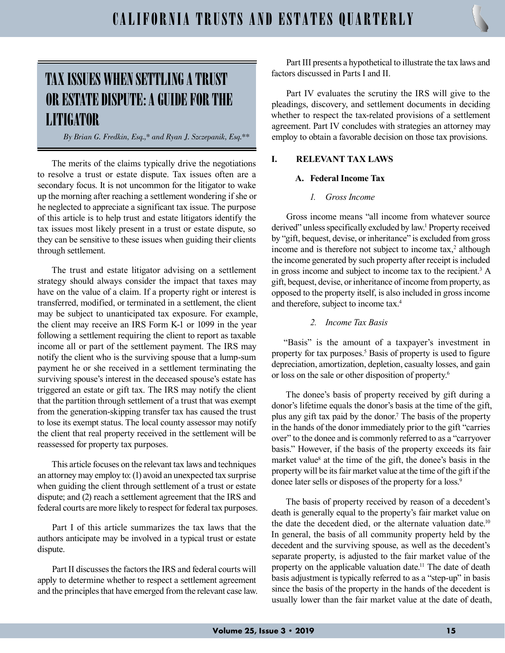# TAX ISSUES WHEN SETTLING A TRUST OR ESTATE DISPUTE: A GUIDE FOR THE LITIGATOR

By Brian G. Fredkin, Esq.,\* and Ryan J. Szczepanik, Esq.\*\*

The merits of the claims typically drive the negotiations to resolve a trust or estate dispute. Tax issues often are a secondary focus. It is not uncommon for the litigator to wake up the morning after reaching a settlement wondering if she or he neglected to appreciate a significant tax issue. The purpose of this article is to help trust and estate litigators identify the tax issues most likely present in a trust or estate dispute, so they can be sensitive to these issues when guiding their clients through settlement.

The trust and estate litigator advising on a settlement strategy should always consider the impact that taxes may have on the value of a claim. If a property right or interest is transferred, modified, or terminated in a settlement, the client may be subject to unanticipated tax exposure. For example, the client may receive an IRS Form K-1 or 1099 in the year following a settlement requiring the client to report as taxable income all or part of the settlement payment. The IRS may notify the client who is the surviving spouse that a lump-sum payment he or she received in a settlement terminating the surviving spouse's interest in the deceased spouse's estate has triggered an estate or gift tax. The IRS may notify the client that the partition through settlement of a trust that was exempt from the generation-skipping transfer tax has caused the trust to lose its exempt status. The local county assessor may notify the client that real property received in the settlement will be reassessed for property tax purposes.

This article focuses on the relevant tax laws and techniques an attorney may employ to: (1) avoid an unexpected tax surprise when guiding the client through settlement of a trust or estate dispute; and (2) reach a settlement agreement that the IRS and federal courts are more likely to respect for federal tax purposes.

Part I of this article summarizes the tax laws that the authors anticipate may be involved in a typical trust or estate dispute.

Part II discusses the factors the IRS and federal courts will apply to determine whether to respect a settlement agreement and the principles that have emerged from the relevant case law.

Part III presents a hypothetical to illustrate the tax laws and factors discussed in Parts I and II.

Part IV evaluates the scrutiny the IRS will give to the pleadings, discovery, and settlement documents in deciding whether to respect the tax-related provisions of a settlement agreement. Part IV concludes with strategies an attorney may employ to obtain a favorable decision on those tax provisions.

## I. RELEVANT TAX LAWS

#### A. Federal Income Tax

#### 1. Gross Income

Gross income means "all income from whatever source derived" unless specifically excluded by law.<sup>1</sup> Property received by "gift, bequest, devise, or inheritance" is excluded from gross income and is therefore not subject to income  $\text{tax},^2$  although the income generated by such property after receipt is included in gross income and subject to income tax to the recipient.<sup>3</sup> A gift, bequest, devise, or inheritance of income from property, as opposed to the property itself, is also included in gross income and therefore, subject to income tax.<sup>4</sup>

## 2. Income Tax Basis

"Basis" is the amount of a taxpayer's investment in property for tax purposes.<sup>5</sup> Basis of property is used to figure depreciation, amortization, depletion, casualty losses, and gain or loss on the sale or other disposition of property.<sup>6</sup>

The donee's basis of property received by gift during a donor's lifetime equals the donor's basis at the time of the gift, plus any gift tax paid by the donor.<sup>7</sup> The basis of the property in the hands of the donor immediately prior to the gift "carries over" to the donee and is commonly referred to as a "carryover basis." However, if the basis of the property exceeds its fair market value<sup>8</sup> at the time of the gift, the donee's basis in the property will be its fair market value at the time of the gift if the donee later sells or disposes of the property for a loss.<sup>9</sup>

The basis of property received by reason of a decedent's death is generally equal to the property's fair market value on the date the decedent died, or the alternate valuation date.<sup>10</sup> In general, the basis of all community property held by the decedent and the surviving spouse, as well as the decedent's separate property, is adjusted to the fair market value of the property on the applicable valuation date.<sup>11</sup> The date of death basis adjustment is typically referred to as a "step-up" in basis since the basis of the property in the hands of the decedent is usually lower than the fair market value at the date of death,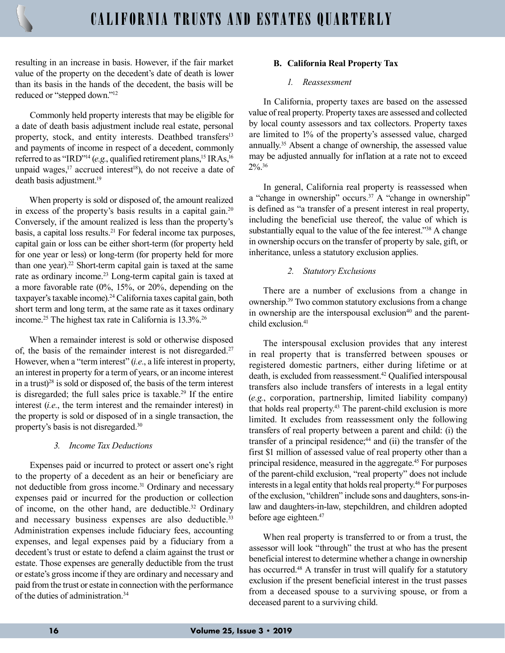resulting in an increase in basis. However, if the fair market value of the property on the decedent's date of death is lower than its basis in the hands of the decedent, the basis will be reduced or "stepped down."<sup>12</sup>

Commonly held property interests that may be eligible for a date of death basis adjustment include real estate, personal property, stock, and entity interests. Deathbed transfers<sup>13</sup> and payments of income in respect of a decedent, commonly referred to as "IRD"<sup>14</sup> (e.g., qualified retirement plans,<sup>15</sup> IRAs,<sup>16</sup> unpaid wages,<sup>17</sup> accrued interest<sup>18</sup>), do not receive a date of death basis adjustment.<sup>19</sup>

When property is sold or disposed of, the amount realized in excess of the property's basis results in a capital gain.<sup>20</sup> Conversely, if the amount realized is less than the property's basis, a capital loss results.<sup>21</sup> For federal income tax purposes, capital gain or loss can be either short-term (for property held for one year or less) or long-term (for property held for more than one year).<sup>22</sup> Short-term capital gain is taxed at the same rate as ordinary income.<sup>23</sup> Long-term capital gain is taxed at a more favorable rate (0%, 15%, or 20%, depending on the taxpayer's taxable income).<sup>24</sup> California taxes capital gain, both short term and long term, at the same rate as it taxes ordinary income.<sup>25</sup> The highest tax rate in California is 13.3%.<sup>26</sup>

When a remainder interest is sold or otherwise disposed of, the basis of the remainder interest is not disregarded.<sup>27</sup> However, when a "term interest" (i.e., a life interest in property, an interest in property for a term of years, or an income interest in a trust) $28$  is sold or disposed of, the basis of the term interest is disregarded; the full sales price is taxable.<sup>29</sup> If the entire interest (i.e., the term interest and the remainder interest) in the property is sold or disposed of in a single transaction, the property's basis is not disregarded.<sup>30</sup>

#### 3. Income Tax Deductions

Expenses paid or incurred to protect or assert one's right to the property of a decedent as an heir or beneficiary are not deductible from gross income.<sup>31</sup> Ordinary and necessary expenses paid or incurred for the production or collection of income, on the other hand, are deductible.<sup>32</sup> Ordinary and necessary business expenses are also deductible.<sup>33</sup> Administration expenses include fiduciary fees, accounting expenses, and legal expenses paid by a fiduciary from a decedent's trust or estate to defend a claim against the trust or estate. Those expenses are generally deductible from the trust or estate's gross income if they are ordinary and necessary and paid from the trust or estate in connection with the performance of the duties of administration.<sup>34</sup>

## B. California Real Property Tax

## 1. Reassessment

In California, property taxes are based on the assessed value of real property. Property taxes are assessed and collected by local county assessors and tax collectors. Property taxes are limited to 1% of the property's assessed value, charged annually.<sup>35</sup> Absent a change of ownership, the assessed value may be adjusted annually for inflation at a rate not to exceed 2%.<sup>36</sup>

In general, California real property is reassessed when a "change in ownership" occurs.<sup>37</sup> A "change in ownership" is defined as "a transfer of a present interest in real property, including the beneficial use thereof, the value of which is substantially equal to the value of the fee interest."<sup>38</sup> A change in ownership occurs on the transfer of property by sale, gift, or inheritance, unless a statutory exclusion applies.

#### 2. Statutory Exclusions

There are a number of exclusions from a change in ownership.<sup>39</sup> Two common statutory exclusions from a change in ownership are the interspousal exclusion $40$  and the parentchild exclusion.<sup>41</sup>

The interspousal exclusion provides that any interest in real property that is transferred between spouses or registered domestic partners, either during lifetime or at death, is excluded from reassessment.<sup>42</sup> Qualified interspousal transfers also include transfers of interests in a legal entity (e.g., corporation, partnership, limited liability company) that holds real property.<sup>43</sup> The parent-child exclusion is more limited. It excludes from reassessment only the following transfers of real property between a parent and child: (i) the transfer of a principal residence; $44$  and (ii) the transfer of the first \$1 million of assessed value of real property other than a principal residence, measured in the aggregate.<sup>45</sup> For purposes of the parent-child exclusion, "real property" does not include interests in a legal entity that holds real property.<sup>46</sup> For purposes of the exclusion, "children" include sons and daughters, sons-inlaw and daughters-in-law, stepchildren, and children adopted before age eighteen.<sup>47</sup>

When real property is transferred to or from a trust, the assessor will look "through" the trust at who has the present beneficial interest to determine whether a change in ownership has occurred.<sup>48</sup> A transfer in trust will qualify for a statutory exclusion if the present beneficial interest in the trust passes from a deceased spouse to a surviving spouse, or from a deceased parent to a surviving child.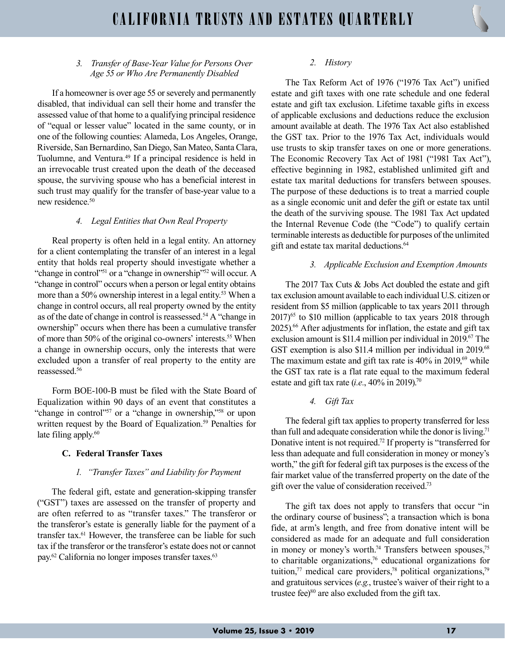## 3. Transfer of Base-Year Value for Persons Over Age 55 or Who Are Permanently Disabled

If a homeowner is over age 55 or severely and permanently disabled, that individual can sell their home and transfer the assessed value of that home to a qualifying principal residence of "equal or lesser value" located in the same county, or in one of the following counties: Alameda, Los Angeles, Orange, Riverside, San Bernardino, San Diego, San Mateo, Santa Clara, Tuolumne, and Ventura.<sup>49</sup> If a principal residence is held in an irrevocable trust created upon the death of the deceased spouse, the surviving spouse who has a beneficial interest in such trust may qualify for the transfer of base-year value to a new residence.<sup>50</sup>

#### 4. Legal Entities that Own Real Property

Real property is often held in a legal entity. An attorney for a client contemplating the transfer of an interest in a legal entity that holds real property should investigate whether a "change in control"<sup>51</sup> or a "change in ownership"<sup>52</sup> will occur. A "change in control" occurs when a person or legal entity obtains more than a 50% ownership interest in a legal entity.<sup>53</sup> When a change in control occurs, all real property owned by the entity as of the date of change in control is reassessed.<sup>54</sup> A "change in ownership" occurs when there has been a cumulative transfer of more than 50% of the original co-owners' interests.<sup>55</sup> When a change in ownership occurs, only the interests that were excluded upon a transfer of real property to the entity are reassessed.<sup>56</sup>

Form BOE-100-B must be filed with the State Board of Equalization within 90 days of an event that constitutes a "change in control"<sup>57</sup> or a "change in ownership,"<sup>58</sup> or upon written request by the Board of Equalization.<sup>59</sup> Penalties for late filing apply.<sup>60</sup>

## C. Federal Transfer Taxes

#### 1. "Transfer Taxes" and Liability for Payment

The federal gift, estate and generation-skipping transfer ("GST") taxes are assessed on the transfer of property and are often referred to as "transfer taxes." The transferor or the transferor's estate is generally liable for the payment of a transfer tax.<sup>61</sup> However, the transferee can be liable for such tax if the transferor or the transferor's estate does not or cannot pay.<sup>62</sup> California no longer imposes transfer taxes.<sup>63</sup>

#### 2. History

The Tax Reform Act of 1976 ("1976 Tax Act") unified estate and gift taxes with one rate schedule and one federal estate and gift tax exclusion. Lifetime taxable gifts in excess of applicable exclusions and deductions reduce the exclusion amount available at death. The 1976 Tax Act also established the GST tax. Prior to the 1976 Tax Act, individuals would use trusts to skip transfer taxes on one or more generations. The Economic Recovery Tax Act of 1981 ("1981 Tax Act"), effective beginning in 1982, established unlimited gift and estate tax marital deductions for transfers between spouses. The purpose of these deductions is to treat a married couple as a single economic unit and defer the gift or estate tax until the death of the surviving spouse. The 1981 Tax Act updated the Internal Revenue Code (the "Code") to qualify certain terminable interests as deductible for purposes of the unlimited gift and estate tax marital deductions.<sup>64</sup>

#### 3. Applicable Exclusion and Exemption Amounts

The 2017 Tax Cuts & Jobs Act doubled the estate and gift tax exclusion amount available to each individual U.S. citizen or resident from \$5 million (applicable to tax years 2011 through  $2017$ <sup>65</sup> to \$10 million (applicable to tax years 2018 through 2025).<sup>66</sup> After adjustments for inflation, the estate and gift tax exclusion amount is \$11.4 million per individual in 2019.<sup>67</sup> The GST exemption is also \$11.4 million per individual in 2019.<sup>68</sup> The maximum estate and gift tax rate is  $40\%$  in  $2019$ ,<sup>69</sup> while the GST tax rate is a flat rate equal to the maximum federal estate and gift tax rate (*i.e.*,  $40\%$  in 2019).<sup>70</sup>

4. Gift Tax

The federal gift tax applies to property transferred for less than full and adequate consideration while the donor is living.<sup>71</sup> Donative intent is not required.<sup>72</sup> If property is "transferred for less than adequate and full consideration in money or money's worth," the gift for federal gift tax purposes is the excess of the fair market value of the transferred property on the date of the gift over the value of consideration received.<sup>73</sup>

The gift tax does not apply to transfers that occur "in the ordinary course of business"; a transaction which is bona fide, at arm's length, and free from donative intent will be considered as made for an adequate and full consideration in money or money's worth.<sup>74</sup> Transfers between spouses,<sup>75</sup> to charitable organizations, $76$  educational organizations for tuition, $77$  medical care providers, $78$  political organizations, $79$ and gratuitous services (e.g., trustee's waiver of their right to a trustee fee) $80$  are also excluded from the gift tax.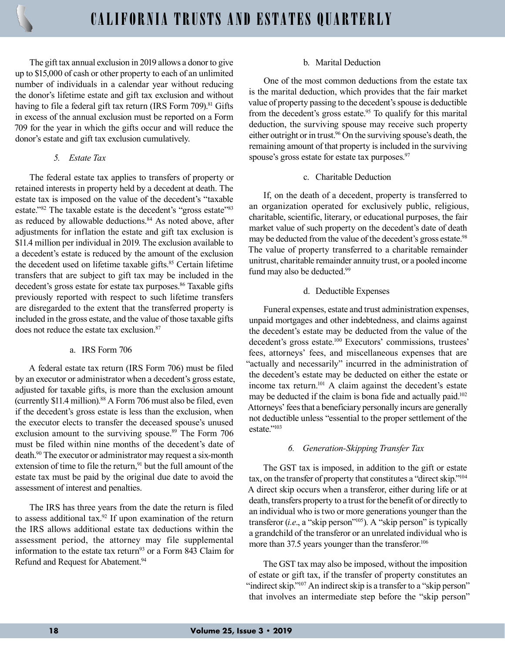The gift tax annual exclusion in 2019 allows a donor to give up to \$15,000 of cash or other property to each of an unlimited number of individuals in a calendar year without reducing the donor's lifetime estate and gift tax exclusion and without having to file a federal gift tax return (IRS Form 709).<sup>81</sup> Gifts in excess of the annual exclusion must be reported on a Form 709 for the year in which the gifts occur and will reduce the donor's estate and gift tax exclusion cumulatively.

#### 5. Estate Tax

The federal estate tax applies to transfers of property or retained interests in property held by a decedent at death. The estate tax is imposed on the value of the decedent's "taxable estate."<sup>82</sup> The taxable estate is the decedent's "gross estate"<sup>83</sup> as reduced by allowable deductions.<sup>84</sup> As noted above, after adjustments for inflation the estate and gift tax exclusion is \$11.4 million per individual in 2019. The exclusion available to a decedent's estate is reduced by the amount of the exclusion the decedent used on lifetime taxable gifts.<sup>85</sup> Certain lifetime transfers that are subject to gift tax may be included in the decedent's gross estate for estate tax purposes.<sup>86</sup> Taxable gifts previously reported with respect to such lifetime transfers are disregarded to the extent that the transferred property is included in the gross estate, and the value of those taxable gifts does not reduce the estate tax exclusion.<sup>87</sup>

#### a. IRS Form 706

A federal estate tax return (IRS Form 706) must be filed by an executor or administrator when a decedent's gross estate, adjusted for taxable gifts, is more than the exclusion amount (currently \$11.4 million).<sup>88</sup> A Form 706 must also be filed, even if the decedent's gross estate is less than the exclusion, when the executor elects to transfer the deceased spouse's unused exclusion amount to the surviving spouse.<sup>89</sup> The Form 706 must be filed within nine months of the decedent's date of death.<sup>90</sup> The executor or administrator may request a six-month extension of time to file the return,<sup>91</sup> but the full amount of the estate tax must be paid by the original due date to avoid the assessment of interest and penalties.

The IRS has three years from the date the return is filed to assess additional tax.<sup>92</sup> If upon examination of the return the IRS allows additional estate tax deductions within the assessment period, the attorney may file supplemental information to the estate tax return<sup>93</sup> or a Form 843 Claim for Refund and Request for Abatement.<sup>94</sup>

#### b. Marital Deduction

One of the most common deductions from the estate tax is the marital deduction, which provides that the fair market value of property passing to the decedent's spouse is deductible from the decedent's gross estate. $95$  To qualify for this marital deduction, the surviving spouse may receive such property either outright or in trust.<sup>96</sup> On the surviving spouse's death, the remaining amount of that property is included in the surviving spouse's gross estate for estate tax purposes.<sup>97</sup>

## c. Charitable Deduction

If, on the death of a decedent, property is transferred to an organization operated for exclusively public, religious, charitable, scientific, literary, or educational purposes, the fair market value of such property on the decedent's date of death may be deducted from the value of the decedent's gross estate.<sup>98</sup> The value of property transferred to a charitable remainder unitrust, charitable remainder annuity trust, or a pooled income fund may also be deducted.<sup>99</sup>

## d. Deductible Expenses

Funeral expenses, estate and trust administration expenses, unpaid mortgages and other indebtedness, and claims against the decedent's estate may be deducted from the value of the decedent's gross estate.<sup>100</sup> Executors' commissions, trustees' fees, attorneys' fees, and miscellaneous expenses that are "actually and necessarily" incurred in the administration of the decedent's estate may be deducted on either the estate or income tax return.<sup>101</sup> A claim against the decedent's estate may be deducted if the claim is bona fide and actually paid.<sup>102</sup> Attorneys' fees that a beneficiary personally incurs are generally not deductible unless "essential to the proper settlement of the estate."103

## 6. Generation-Skipping Transfer Tax

The GST tax is imposed, in addition to the gift or estate tax, on the transfer of property that constitutes a "direct skip."<sup>104</sup> A direct skip occurs when a transferor, either during life or at death, transfers property to a trust for the benefit of or directly to an individual who is two or more generations younger than the transferor  $(i.e., a "skip person" <sup>105</sup>). A "skip person" is typically$ a grandchild of the transferor or an unrelated individual who is more than 37.5 years younger than the transferor.<sup>106</sup>

The GST tax may also be imposed, without the imposition of estate or gift tax, if the transfer of property constitutes an "indirect skip."<sup>107</sup> An indirect skip is a transfer to a "skip person" that involves an intermediate step before the "skip person"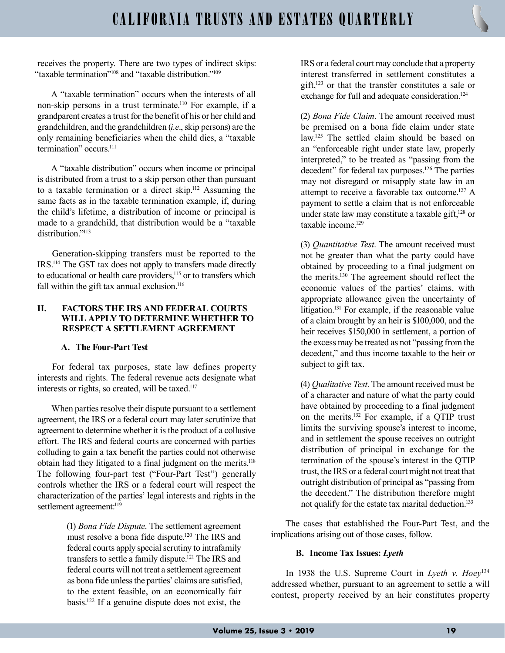receives the property. There are two types of indirect skips: "taxable termination"<sup>108</sup> and "taxable distribution."<sup>109</sup>

A "taxable termination" occurs when the interests of all non-skip persons in a trust terminate.<sup>110</sup> For example, if a grandparent creates a trust for the benefit of his or her child and grandchildren, and the grandchildren (i.e., skip persons) are the only remaining beneficiaries when the child dies, a "taxable termination" occurs.<sup>111</sup>

A "taxable distribution" occurs when income or principal is distributed from a trust to a skip person other than pursuant to a taxable termination or a direct skip.<sup>112</sup> Assuming the same facts as in the taxable termination example, if, during the child's lifetime, a distribution of income or principal is made to a grandchild, that distribution would be a "taxable distribution."<sup>113</sup>

Generation-skipping transfers must be reported to the IRS.<sup>114</sup> The GST tax does not apply to transfers made directly to educational or health care providers,<sup>115</sup> or to transfers which fall within the gift tax annual exclusion. $116$ 

## II. FACTORS THE IRS AND FEDERAL COURTS WILL APPLY TO DETERMINE WHETHER TO RESPECT A SETTLEMENT AGREEMENT

# A. The Four-Part Test

For federal tax purposes, state law defines property interests and rights. The federal revenue acts designate what interests or rights, so created, will be taxed.<sup>117</sup>

When parties resolve their dispute pursuant to a settlement agreement, the IRS or a federal court may later scrutinize that agreement to determine whether it is the product of a collusive effort. The IRS and federal courts are concerned with parties colluding to gain a tax benefit the parties could not otherwise obtain had they litigated to a final judgment on the merits.<sup>118</sup> The following four-part test ("Four-Part Test") generally controls whether the IRS or a federal court will respect the characterization of the parties' legal interests and rights in the settlement agreement:<sup>119</sup>

> (1) Bona Fide Dispute. The settlement agreement must resolve a bona fide dispute.<sup>120</sup> The IRS and federal courts apply special scrutiny to intrafamily transfers to settle a family dispute.<sup>121</sup> The IRS and federal courts will not treat a settlement agreement as bona fide unless the parties' claims are satisfied, to the extent feasible, on an economically fair basis.<sup>122</sup> If a genuine dispute does not exist, the

IRS or a federal court may conclude that a property interest transferred in settlement constitutes a gift,<sup>123</sup> or that the transfer constitutes a sale or exchange for full and adequate consideration.<sup>124</sup>

(2) Bona Fide Claim. The amount received must be premised on a bona fide claim under state law.<sup>125</sup> The settled claim should be based on an "enforceable right under state law, properly interpreted," to be treated as "passing from the decedent" for federal tax purposes.<sup>126</sup> The parties may not disregard or misapply state law in an attempt to receive a favorable tax outcome.<sup>127</sup> A payment to settle a claim that is not enforceable under state law may constitute a taxable gift,<sup>128</sup> or  $taxable income<sup>129</sup>$ 

(3) Quantitative Test. The amount received must not be greater than what the party could have obtained by proceeding to a final judgment on the merits.<sup>130</sup> The agreement should reflect the economic values of the parties' claims, with appropriate allowance given the uncertainty of litigation.<sup>131</sup> For example, if the reasonable value of a claim brought by an heir is \$100,000, and the heir receives \$150,000 in settlement, a portion of the excess may be treated as not "passing from the decedent," and thus income taxable to the heir or subject to gift tax.

(4) Qualitative Test. The amount received must be of a character and nature of what the party could have obtained by proceeding to a final judgment on the merits.<sup>132</sup> For example, if a QTIP trust limits the surviving spouse's interest to income, and in settlement the spouse receives an outright distribution of principal in exchange for the termination of the spouse's interest in the QTIP trust, the IRS or a federal court might not treat that outright distribution of principal as "passing from the decedent." The distribution therefore might not qualify for the estate tax marital deduction.<sup>133</sup>

The cases that established the Four-Part Test, and the implications arising out of those cases, follow.

## B. Income Tax Issues: Lyeth

In 1938 the U.S. Supreme Court in Lyeth v.  $Hoey<sup>134</sup>$ addressed whether, pursuant to an agreement to settle a will contest, property received by an heir constitutes property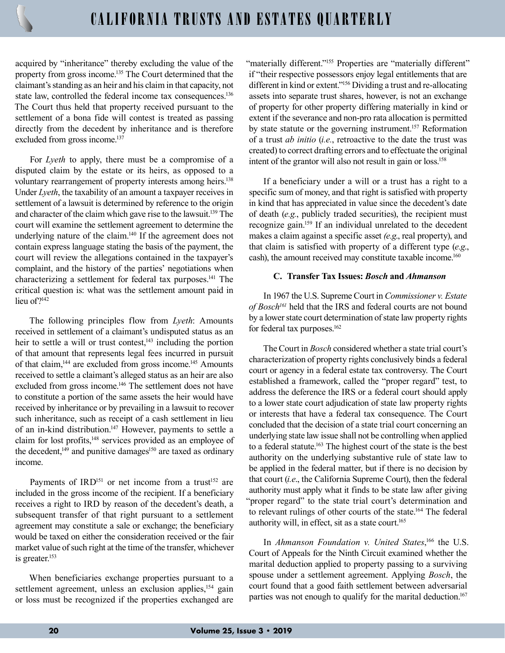acquired by "inheritance" thereby excluding the value of the property from gross income.<sup>135</sup> The Court determined that the claimant's standing as an heir and his claim in that capacity, not state law, controlled the federal income tax consequences.<sup>136</sup> The Court thus held that property received pursuant to the settlement of a bona fide will contest is treated as passing directly from the decedent by inheritance and is therefore excluded from gross income.<sup>137</sup>

For Lyeth to apply, there must be a compromise of a disputed claim by the estate or its heirs, as opposed to a voluntary rearrangement of property interests among heirs.<sup>138</sup> Under *Lyeth*, the taxability of an amount a taxpayer receives in settlement of a lawsuit is determined by reference to the origin and character of the claim which gave rise to the lawsuit.<sup>139</sup> The court will examine the settlement agreement to determine the underlying nature of the claim.<sup>140</sup> If the agreement does not contain express language stating the basis of the payment, the court will review the allegations contained in the taxpayer's complaint, and the history of the parties' negotiations when characterizing a settlement for federal tax purposes.<sup>141</sup> The critical question is: what was the settlement amount paid in lieu of?<sup>142</sup>

The following principles flow from Lyeth: Amounts received in settlement of a claimant's undisputed status as an heir to settle a will or trust contest,<sup>143</sup> including the portion of that amount that represents legal fees incurred in pursuit of that claim,<sup>144</sup> are excluded from gross income.<sup>145</sup> Amounts received to settle a claimant's alleged status as an heir are also excluded from gross income.<sup>146</sup> The settlement does not have to constitute a portion of the same assets the heir would have received by inheritance or by prevailing in a lawsuit to recover such inheritance, such as receipt of a cash settlement in lieu of an in-kind distribution.<sup>147</sup> However, payments to settle a claim for lost profits,<sup>148</sup> services provided as an employee of the decedent, $149$  and punitive damages<sup>150</sup> are taxed as ordinary income.

Payments of IRD<sup>151</sup> or net income from a trust<sup>152</sup> are included in the gross income of the recipient. If a beneficiary receives a right to IRD by reason of the decedent's death, a subsequent transfer of that right pursuant to a settlement agreement may constitute a sale or exchange; the beneficiary would be taxed on either the consideration received or the fair market value of such right at the time of the transfer, whichever is greater.<sup>153</sup>

When beneficiaries exchange properties pursuant to a settlement agreement, unless an exclusion applies,<sup>154</sup> gain or loss must be recognized if the properties exchanged are

"materially different."<sup>155</sup> Properties are "materially different" if "their respective possessors enjoy legal entitlements that are different in kind or extent."<sup>156</sup> Dividing a trust and re-allocating assets into separate trust shares, however, is not an exchange of property for other property differing materially in kind or extent if the severance and non-pro rata allocation is permitted by state statute or the governing instrument.<sup>157</sup> Reformation of a trust ab initio (i.e., retroactive to the date the trust was created) to correct drafting errors and to effectuate the original intent of the grantor will also not result in gain or loss.<sup>158</sup>

If a beneficiary under a will or a trust has a right to a specific sum of money, and that right is satisfied with property in kind that has appreciated in value since the decedent's date of death (e.g., publicly traded securities), the recipient must recognize gain.<sup>159</sup> If an individual unrelated to the decedent makes a claim against a specific asset (e.g., real property), and that claim is satisfied with property of a different type  $(e.g.,)$ cash), the amount received may constitute taxable income.<sup>160</sup>

#### C. Transfer Tax Issues: Bosch and Ahmanson

In 1967 the U.S. Supreme Court in Commissioner v. Estate of Bosch<sup>161</sup> held that the IRS and federal courts are not bound by a lower state court determination of state law property rights for federal tax purposes.<sup>162</sup>

The Court in Bosch considered whether a state trial court's characterization of property rights conclusively binds a federal court or agency in a federal estate tax controversy. The Court established a framework, called the "proper regard" test, to address the deference the IRS or a federal court should apply to a lower state court adjudication of state law property rights or interests that have a federal tax consequence. The Court concluded that the decision of a state trial court concerning an underlying state law issue shall not be controlling when applied to a federal statute.<sup>163</sup> The highest court of the state is the best authority on the underlying substantive rule of state law to be applied in the federal matter, but if there is no decision by that court (i.e., the California Supreme Court), then the federal authority must apply what it finds to be state law after giving "proper regard" to the state trial court's determination and to relevant rulings of other courts of the state.<sup>164</sup> The federal authority will, in effect, sit as a state court.<sup>165</sup>

In Ahmanson Foundation v. United States,<sup>166</sup> the U.S. Court of Appeals for the Ninth Circuit examined whether the marital deduction applied to property passing to a surviving spouse under a settlement agreement. Applying Bosch, the court found that a good faith settlement between adversarial parties was not enough to qualify for the marital deduction.<sup>167</sup>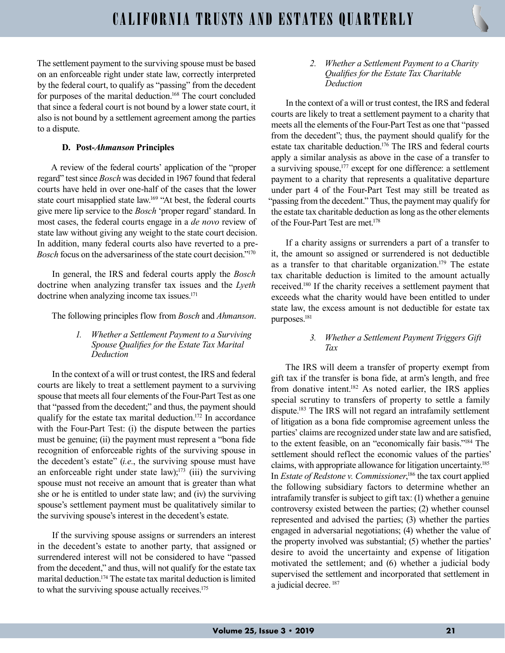The settlement payment to the surviving spouse must be based on an enforceable right under state law, correctly interpreted by the federal court, to qualify as "passing" from the decedent for purposes of the marital deduction.<sup>168</sup> The court concluded that since a federal court is not bound by a lower state court, it also is not bound by a settlement agreement among the parties to a dispute.

## D. Post-Ahmanson Principles

A review of the federal courts' application of the "proper regard" test since Bosch was decided in 1967 found that federal courts have held in over one-half of the cases that the lower state court misapplied state law.<sup>169</sup> "At best, the federal courts give mere lip service to the Bosch 'proper regard' standard. In most cases, the federal courts engage in a de novo review of state law without giving any weight to the state court decision. In addition, many federal courts also have reverted to a pre-Bosch focus on the adversariness of the state court decision."<sup>170</sup>

In general, the IRS and federal courts apply the *Bosch* doctrine when analyzing transfer tax issues and the Lyeth doctrine when analyzing income tax issues.<sup>171</sup>

The following principles flow from *Bosch* and *Ahmanson*.

1. Whether a Settlement Payment to a Surviving Spouse Qualifies for the Estate Tax Marital Deduction

In the context of a will or trust contest, the IRS and federal courts are likely to treat a settlement payment to a surviving spouse that meets all four elements of the Four-Part Test as one that "passed from the decedent;" and thus, the payment should qualify for the estate tax marital deduction.<sup>172</sup> In accordance with the Four-Part Test: (i) the dispute between the parties must be genuine; (ii) the payment must represent a "bona fide recognition of enforceable rights of the surviving spouse in the decedent's estate"  $(i.e.,$  the surviving spouse must have an enforceable right under state law);<sup>173</sup> (iii) the surviving spouse must not receive an amount that is greater than what she or he is entitled to under state law; and (iv) the surviving spouse's settlement payment must be qualitatively similar to the surviving spouse's interest in the decedent's estate.

If the surviving spouse assigns or surrenders an interest in the decedent's estate to another party, that assigned or surrendered interest will not be considered to have "passed from the decedent," and thus, will not qualify for the estate tax marital deduction.<sup>174</sup> The estate tax marital deduction is limited to what the surviving spouse actually receives.<sup>175</sup>

2. Whether a Settlement Payment to a Charity Qualifies for the Estate Tax Charitable Deduction

In the context of a will or trust contest, the IRS and federal courts are likely to treat a settlement payment to a charity that meets all the elements of the Four-Part Test as one that "passed from the decedent"; thus, the payment should qualify for the estate tax charitable deduction.<sup>176</sup> The IRS and federal courts apply a similar analysis as above in the case of a transfer to a surviving spouse,<sup>177</sup> except for one difference: a settlement payment to a charity that represents a qualitative departure under part 4 of the Four-Part Test may still be treated as "passing from the decedent." Thus, the payment may qualify for the estate tax charitable deduction as long as the other elements of the Four-Part Test are met.<sup>178</sup>

If a charity assigns or surrenders a part of a transfer to it, the amount so assigned or surrendered is not deductible as a transfer to that charitable organization.<sup>179</sup> The estate tax charitable deduction is limited to the amount actually received.<sup>180</sup> If the charity receives a settlement payment that exceeds what the charity would have been entitled to under state law, the excess amount is not deductible for estate tax purposes.<sup>181</sup>

#### 3. Whether a Settlement Payment Triggers Gift Tax

The IRS will deem a transfer of property exempt from gift tax if the transfer is bona fide, at arm's length, and free from donative intent.<sup>182</sup> As noted earlier, the IRS applies special scrutiny to transfers of property to settle a family dispute.<sup>183</sup> The IRS will not regard an intrafamily settlement of litigation as a bona fide compromise agreement unless the parties' claims are recognized under state law and are satisfied, to the extent feasible, on an "economically fair basis."<sup>184</sup> The settlement should reflect the economic values of the parties' claims, with appropriate allowance for litigation uncertainty.<sup>185</sup> In *Estate of Redstone v. Commissioner*,<sup>186</sup> the tax court applied the following subsidiary factors to determine whether an intrafamily transfer is subject to gift tax: (1) whether a genuine controversy existed between the parties; (2) whether counsel represented and advised the parties; (3) whether the parties engaged in adversarial negotiations; (4) whether the value of the property involved was substantial; (5) whether the parties' desire to avoid the uncertainty and expense of litigation motivated the settlement; and (6) whether a judicial body supervised the settlement and incorporated that settlement in a judicial decree. 187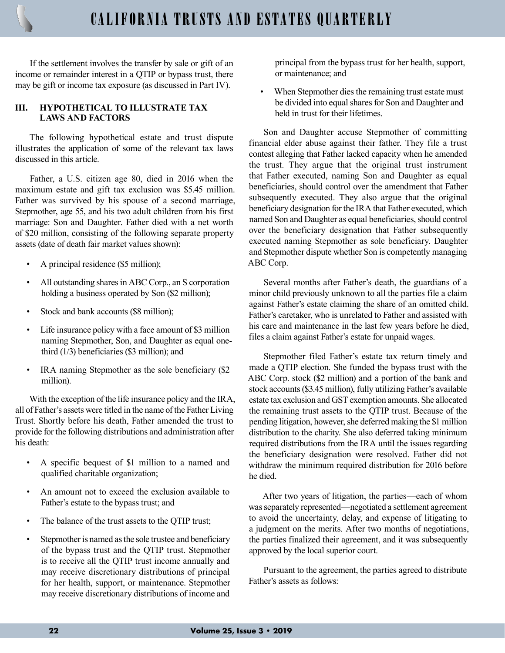If the settlement involves the transfer by sale or gift of an income or remainder interest in a QTIP or bypass trust, there may be gift or income tax exposure (as discussed in Part IV).

## III. HYPOTHETICAL TO ILLUSTRATE TAX LAWS AND FACTORS

The following hypothetical estate and trust dispute illustrates the application of some of the relevant tax laws discussed in this article.

Father, a U.S. citizen age 80, died in 2016 when the maximum estate and gift tax exclusion was \$5.45 million. Father was survived by his spouse of a second marriage, Stepmother, age 55, and his two adult children from his first marriage: Son and Daughter. Father died with a net worth of \$20 million, consisting of the following separate property assets (date of death fair market values shown):

- A principal residence (\$5 million);
- All outstanding shares in ABC Corp., an S corporation holding a business operated by Son (\$2 million);
- Stock and bank accounts (\$8 million);
- Life insurance policy with a face amount of \$3 million naming Stepmother, Son, and Daughter as equal onethird (1/3) beneficiaries (\$3 million); and
- IRA naming Stepmother as the sole beneficiary (\$2) million).

With the exception of the life insurance policy and the IRA, all of Father's assets were titled in the name of the Father Living Trust. Shortly before his death, Father amended the trust to provide for the following distributions and administration after his death:

- A specific bequest of \$1 million to a named and qualified charitable organization;
- An amount not to exceed the exclusion available to Father's estate to the bypass trust; and
- The balance of the trust assets to the QTIP trust;
- Stepmother is named as the sole trustee and beneficiary of the bypass trust and the QTIP trust. Stepmother is to receive all the QTIP trust income annually and may receive discretionary distributions of principal for her health, support, or maintenance. Stepmother may receive discretionary distributions of income and

principal from the bypass trust for her health, support, or maintenance; and

When Stepmother dies the remaining trust estate must be divided into equal shares for Son and Daughter and held in trust for their lifetimes.

Son and Daughter accuse Stepmother of committing financial elder abuse against their father. They file a trust contest alleging that Father lacked capacity when he amended the trust. They argue that the original trust instrument that Father executed, naming Son and Daughter as equal beneficiaries, should control over the amendment that Father subsequently executed. They also argue that the original beneficiary designation for the IRA that Father executed, which named Son and Daughter as equal beneficiaries, should control over the beneficiary designation that Father subsequently executed naming Stepmother as sole beneficiary. Daughter and Stepmother dispute whether Son is competently managing ABC Corp.

Several months after Father's death, the guardians of a minor child previously unknown to all the parties file a claim against Father's estate claiming the share of an omitted child. Father's caretaker, who is unrelated to Father and assisted with his care and maintenance in the last few years before he died, files a claim against Father's estate for unpaid wages.

Stepmother filed Father's estate tax return timely and made a QTIP election. She funded the bypass trust with the ABC Corp. stock (\$2 million) and a portion of the bank and stock accounts (\$3.45 million), fully utilizing Father's available estate tax exclusion and GST exemption amounts. She allocated the remaining trust assets to the QTIP trust. Because of the pending litigation, however, she deferred making the \$1 million distribution to the charity. She also deferred taking minimum required distributions from the IRA until the issues regarding the beneficiary designation were resolved. Father did not withdraw the minimum required distribution for 2016 before he died.

After two years of litigation, the parties—each of whom was separately represented—negotiated a settlement agreement to avoid the uncertainty, delay, and expense of litigating to a judgment on the merits. After two months of negotiations, the parties finalized their agreement, and it was subsequently approved by the local superior court.

Pursuant to the agreement, the parties agreed to distribute Father's assets as follows: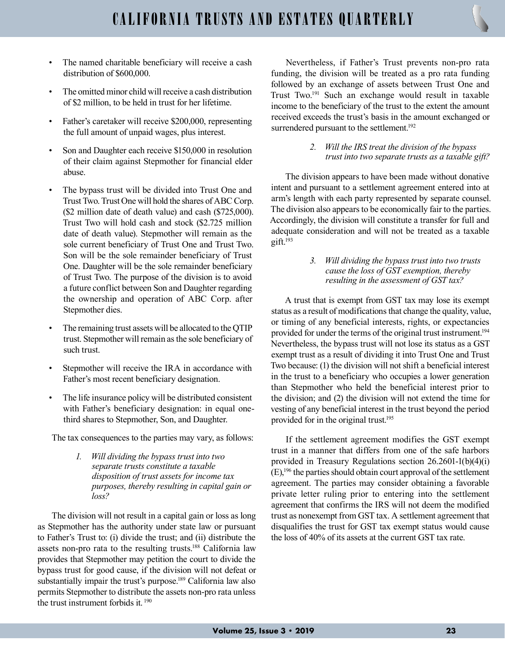- The named charitable beneficiary will receive a cash distribution of \$600,000.
- The omitted minor child will receive a cash distribution of \$2 million, to be held in trust for her lifetime.
- Father's caretaker will receive \$200,000, representing the full amount of unpaid wages, plus interest.
- Son and Daughter each receive \$150,000 in resolution of their claim against Stepmother for financial elder abuse.
- The bypass trust will be divided into Trust One and Trust Two. Trust One will hold the shares of ABC Corp. (\$2 million date of death value) and cash (\$725,000). Trust Two will hold cash and stock (\$2.725 million date of death value). Stepmother will remain as the sole current beneficiary of Trust One and Trust Two. Son will be the sole remainder beneficiary of Trust One. Daughter will be the sole remainder beneficiary of Trust Two. The purpose of the division is to avoid a future conflict between Son and Daughter regarding the ownership and operation of ABC Corp. after Stepmother dies.
- The remaining trust assets will be allocated to the QTIP trust. Stepmother will remain as the sole beneficiary of such trust.
- Stepmother will receive the IRA in accordance with Father's most recent beneficiary designation.
- The life insurance policy will be distributed consistent with Father's beneficiary designation: in equal onethird shares to Stepmother, Son, and Daughter.

The tax consequences to the parties may vary, as follows:

1. Will dividing the bypass trust into two separate trusts constitute a taxable disposition of trust assets for income tax purposes, thereby resulting in capital gain or loss?

The division will not result in a capital gain or loss as long as Stepmother has the authority under state law or pursuant to Father's Trust to: (i) divide the trust; and (ii) distribute the assets non-pro rata to the resulting trusts.<sup>188</sup> California law provides that Stepmother may petition the court to divide the bypass trust for good cause, if the division will not defeat or substantially impair the trust's purpose.<sup>189</sup> California law also permits Stepmother to distribute the assets non-pro rata unless the trust instrument forbids it.  $190$ 

Nevertheless, if Father's Trust prevents non-pro rata funding, the division will be treated as a pro rata funding followed by an exchange of assets between Trust One and Trust Two.<sup>191</sup> Such an exchange would result in taxable income to the beneficiary of the trust to the extent the amount received exceeds the trust's basis in the amount exchanged or surrendered pursuant to the settlement.<sup>192</sup>

> 2. Will the IRS treat the division of the bypass trust into two separate trusts as a taxable gift?

The division appears to have been made without donative intent and pursuant to a settlement agreement entered into at arm's length with each party represented by separate counsel. The division also appears to be economically fair to the parties. Accordingly, the division will constitute a transfer for full and adequate consideration and will not be treated as a taxable  $g$ ift. $193$ 

> 3. Will dividing the bypass trust into two trusts cause the loss of GST exemption, thereby resulting in the assessment of GST tax?

A trust that is exempt from GST tax may lose its exempt status as a result of modifications that change the quality, value, or timing of any beneficial interests, rights, or expectancies provided for under the terms of the original trust instrument.<sup>194</sup> Nevertheless, the bypass trust will not lose its status as a GST exempt trust as a result of dividing it into Trust One and Trust Two because: (1) the division will not shift a beneficial interest in the trust to a beneficiary who occupies a lower generation than Stepmother who held the beneficial interest prior to the division; and (2) the division will not extend the time for vesting of any beneficial interest in the trust beyond the period provided for in the original trust.<sup>195</sup>

If the settlement agreement modifies the GST exempt trust in a manner that differs from one of the safe harbors provided in Treasury Regulations section 26.2601-1(b)(4)(i) (E),<sup>196</sup> the parties should obtain court approval of the settlement agreement. The parties may consider obtaining a favorable private letter ruling prior to entering into the settlement agreement that confirms the IRS will not deem the modified trust as nonexempt from GST tax. A settlement agreement that disqualifies the trust for GST tax exempt status would cause the loss of 40% of its assets at the current GST tax rate.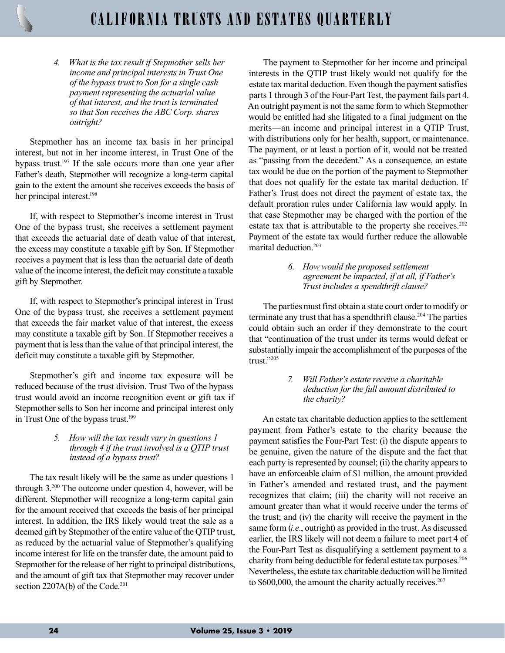# CALIFORNIA TRUSTS AND ESTATES QUARTERLY

4. What is the tax result if Stepmother sells her income and principal interests in Trust One of the bypass trust to Son for a single cash payment representing the actuarial value of that interest, and the trust is terminated so that Son receives the ABC Corp. shares outright?

Stepmother has an income tax basis in her principal interest, but not in her income interest, in Trust One of the bypass trust.<sup>197</sup> If the sale occurs more than one year after Father's death, Stepmother will recognize a long-term capital gain to the extent the amount she receives exceeds the basis of her principal interest.<sup>198</sup>

If, with respect to Stepmother's income interest in Trust One of the bypass trust, she receives a settlement payment that exceeds the actuarial date of death value of that interest, the excess may constitute a taxable gift by Son. If Stepmother receives a payment that is less than the actuarial date of death value of the income interest, the deficit may constitute a taxable gift by Stepmother.

If, with respect to Stepmother's principal interest in Trust One of the bypass trust, she receives a settlement payment that exceeds the fair market value of that interest, the excess may constitute a taxable gift by Son. If Stepmother receives a payment that is less than the value of that principal interest, the deficit may constitute a taxable gift by Stepmother.

Stepmother's gift and income tax exposure will be reduced because of the trust division. Trust Two of the bypass trust would avoid an income recognition event or gift tax if Stepmother sells to Son her income and principal interest only in Trust One of the bypass trust.<sup>199</sup>

#### 5. How will the tax result vary in questions 1 through 4 if the trust involved is a QTIP trust instead of a bypass trust?

The tax result likely will be the same as under questions 1 through 3.<sup>200</sup> The outcome under question 4, however, will be different. Stepmother will recognize a long-term capital gain for the amount received that exceeds the basis of her principal interest. In addition, the IRS likely would treat the sale as a deemed gift by Stepmother of the entire value of the QTIP trust, as reduced by the actuarial value of Stepmother's qualifying income interest for life on the transfer date, the amount paid to Stepmother for the release of her right to principal distributions, and the amount of gift tax that Stepmother may recover under section 2207A(b) of the Code.<sup>201</sup>

The payment to Stepmother for her income and principal interests in the QTIP trust likely would not qualify for the estate tax marital deduction. Even though the payment satisfies parts 1 through 3 of the Four-Part Test, the payment fails part 4. An outright payment is not the same form to which Stepmother would be entitled had she litigated to a final judgment on the merits—an income and principal interest in a QTIP Trust, with distributions only for her health, support, or maintenance. The payment, or at least a portion of it, would not be treated as "passing from the decedent." As a consequence, an estate tax would be due on the portion of the payment to Stepmother that does not qualify for the estate tax marital deduction. If Father's Trust does not direct the payment of estate tax, the default proration rules under California law would apply. In that case Stepmother may be charged with the portion of the estate tax that is attributable to the property she receives.<sup>202</sup> Payment of the estate tax would further reduce the allowable marital deduction.<sup>203</sup>

> 6. How would the proposed settlement agreement be impacted, if at all, if Father's Trust includes a spendthrift clause?

The parties must first obtain a state court order to modify or terminate any trust that has a spendthrift clause.<sup>204</sup> The parties could obtain such an order if they demonstrate to the court that "continuation of the trust under its terms would defeat or substantially impair the accomplishment of the purposes of the trust."205

> 7. Will Father's estate receive a charitable deduction for the full amount distributed to the charity?

An estate tax charitable deduction applies to the settlement payment from Father's estate to the charity because the payment satisfies the Four-Part Test: (i) the dispute appears to be genuine, given the nature of the dispute and the fact that each party is represented by counsel; (ii) the charity appears to have an enforceable claim of \$1 million, the amount provided in Father's amended and restated trust, and the payment recognizes that claim; (iii) the charity will not receive an amount greater than what it would receive under the terms of the trust; and (iv) the charity will receive the payment in the same form (*i.e.*, outright) as provided in the trust. As discussed earlier, the IRS likely will not deem a failure to meet part 4 of the Four-Part Test as disqualifying a settlement payment to a charity from being deductible for federal estate tax purposes.<sup>206</sup> Nevertheless, the estate tax charitable deduction will be limited to \$600,000, the amount the charity actually receives.<sup>207</sup>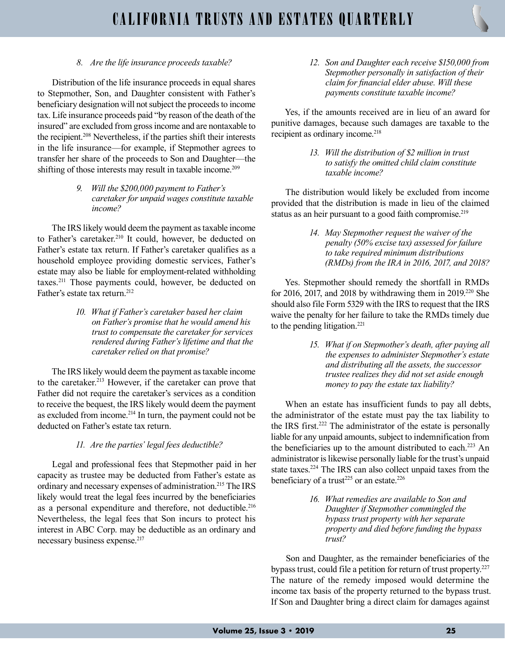## 8. Are the life insurance proceeds taxable?

Distribution of the life insurance proceeds in equal shares to Stepmother, Son, and Daughter consistent with Father's beneficiary designation will not subject the proceeds to income tax. Life insurance proceeds paid "by reason of the death of the insured" are excluded from gross income and are nontaxable to the recipient.<sup>208</sup> Nevertheless, if the parties shift their interests in the life insurance—for example, if Stepmother agrees to transfer her share of the proceeds to Son and Daughter—the shifting of those interests may result in taxable income.<sup>209</sup>

> 9. Will the \$200,000 payment to Father's caretaker for unpaid wages constitute taxable income?

The IRS likely would deem the payment as taxable income to Father's caretaker.<sup>210</sup> It could, however, be deducted on Father's estate tax return. If Father's caretaker qualifies as a household employee providing domestic services, Father's estate may also be liable for employment-related withholding taxes.<sup>211</sup> Those payments could, however, be deducted on Father's estate tax return.<sup>212</sup>

> 10. What if Father's caretaker based her claim on Father's promise that he would amend his trust to compensate the caretaker for services rendered during Father's lifetime and that the caretaker relied on that promise?

The IRS likely would deem the payment as taxable income to the caretaker.<sup>213</sup> However, if the caretaker can prove that Father did not require the caretaker's services as a condition to receive the bequest, the IRS likely would deem the payment as excluded from income.<sup>214</sup> In turn, the payment could not be deducted on Father's estate tax return.

## 11. Are the parties' legal fees deductible?

Legal and professional fees that Stepmother paid in her capacity as trustee may be deducted from Father's estate as ordinary and necessary expenses of administration.<sup>215</sup> The IRS likely would treat the legal fees incurred by the beneficiaries as a personal expenditure and therefore, not deductible.<sup>216</sup> Nevertheless, the legal fees that Son incurs to protect his interest in ABC Corp. may be deductible as an ordinary and necessary business expense.<sup>217</sup>

12. Son and Daughter each receive \$150,000 from Stepmother personally in satisfaction of their claim for financial elder abuse. Will these payments constitute taxable income?

Yes, if the amounts received are in lieu of an award for punitive damages, because such damages are taxable to the recipient as ordinary income.<sup>218</sup>

> 13. Will the distribution of \$2 million in trust to satisfy the omitted child claim constitute taxable income?

The distribution would likely be excluded from income provided that the distribution is made in lieu of the claimed status as an heir pursuant to a good faith compromise.<sup>219</sup>

> 14. May Stepmother request the waiver of the penalty (50% excise tax) assessed for failure to take required minimum distributions (RMDs) from the IRA in 2016, 2017, and 2018?

Yes. Stepmother should remedy the shortfall in RMDs for 2016, 2017, and 2018 by withdrawing them in  $2019<sup>220</sup>$  She should also file Form 5329 with the IRS to request that the IRS waive the penalty for her failure to take the RMDs timely due to the pending litigation.<sup>221</sup>

> 15. What if on Stepmother's death, after paying all the expenses to administer Stepmother's estate and distributing all the assets, the successor trustee realizes they did not set aside enough money to pay the estate tax liability?

When an estate has insufficient funds to pay all debts, the administrator of the estate must pay the tax liability to the IRS first.<sup>222</sup> The administrator of the estate is personally liable for any unpaid amounts, subject to indemnification from the beneficiaries up to the amount distributed to each.<sup>223</sup> An administrator is likewise personally liable for the trust's unpaid state taxes.<sup>224</sup> The IRS can also collect unpaid taxes from the beneficiary of a trust<sup>225</sup> or an estate.<sup>226</sup>

> 16. What remedies are available to Son and Daughter if Stepmother commingled the bypass trust property with her separate property and died before funding the bypass trust?

Son and Daughter, as the remainder beneficiaries of the bypass trust, could file a petition for return of trust property.<sup>227</sup> The nature of the remedy imposed would determine the income tax basis of the property returned to the bypass trust. If Son and Daughter bring a direct claim for damages against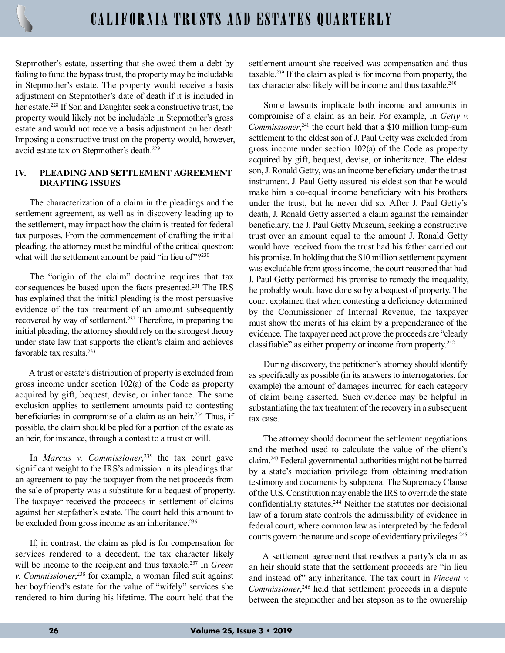Stepmother's estate, asserting that she owed them a debt by failing to fund the bypass trust, the property may be includable in Stepmother's estate. The property would receive a basis adjustment on Stepmother's date of death if it is included in her estate.<sup>228</sup> If Son and Daughter seek a constructive trust, the property would likely not be includable in Stepmother's gross estate and would not receive a basis adjustment on her death. Imposing a constructive trust on the property would, however, avoid estate tax on Stepmother's death.<sup>229</sup>

## IV. PLEADING AND SETTLEMENT AGREEMENT DRAFTING ISSUES

The characterization of a claim in the pleadings and the settlement agreement, as well as in discovery leading up to the settlement, may impact how the claim is treated for federal tax purposes. From the commencement of drafting the initial pleading, the attorney must be mindful of the critical question: what will the settlement amount be paid "in lieu of"?<sup>230</sup>

The "origin of the claim" doctrine requires that tax consequences be based upon the facts presented.<sup>231</sup> The IRS has explained that the initial pleading is the most persuasive evidence of the tax treatment of an amount subsequently recovered by way of settlement.<sup>232</sup> Therefore, in preparing the initial pleading, the attorney should rely on the strongest theory under state law that supports the client's claim and achieves favorable tax results.<sup>233</sup>

A trust or estate's distribution of property is excluded from gross income under section 102(a) of the Code as property acquired by gift, bequest, devise, or inheritance. The same exclusion applies to settlement amounts paid to contesting beneficiaries in compromise of a claim as an heir.<sup>234</sup> Thus, if possible, the claim should be pled for a portion of the estate as an heir, for instance, through a contest to a trust or will.

In *Marcus* v. *Commissioner*<sup>235</sup>, the tax court gave significant weight to the IRS's admission in its pleadings that an agreement to pay the taxpayer from the net proceeds from the sale of property was a substitute for a bequest of property. The taxpayer received the proceeds in settlement of claims against her stepfather's estate. The court held this amount to be excluded from gross income as an inheritance.<sup>236</sup>

If, in contrast, the claim as pled is for compensation for services rendered to a decedent, the tax character likely will be income to the recipient and thus taxable.<sup>237</sup> In Green v. Commissioner, <sup>238</sup> for example, a woman filed suit against her boyfriend's estate for the value of "wifely" services she rendered to him during his lifetime. The court held that the

settlement amount she received was compensation and thus taxable.<sup>239</sup> If the claim as pled is for income from property, the tax character also likely will be income and thus taxable.<sup>240</sup>

Some lawsuits implicate both income and amounts in compromise of a claim as an heir. For example, in Getty v. Commissioner,<sup>241</sup> the court held that a \$10 million lump-sum settlement to the eldest son of J. Paul Getty was excluded from gross income under section 102(a) of the Code as property acquired by gift, bequest, devise, or inheritance. The eldest son, J. Ronald Getty, was an income beneficiary under the trust instrument. J. Paul Getty assured his eldest son that he would make him a co-equal income beneficiary with his brothers under the trust, but he never did so. After J. Paul Getty's death, J. Ronald Getty asserted a claim against the remainder beneficiary, the J. Paul Getty Museum, seeking a constructive trust over an amount equal to the amount J. Ronald Getty would have received from the trust had his father carried out his promise. In holding that the \$10 million settlement payment was excludable from gross income, the court reasoned that had J. Paul Getty performed his promise to remedy the inequality, he probably would have done so by a bequest of property. The court explained that when contesting a deficiency determined by the Commissioner of Internal Revenue, the taxpayer must show the merits of his claim by a preponderance of the evidence. The taxpayer need not prove the proceeds are "clearly classifiable" as either property or income from property.<sup>242</sup>

During discovery, the petitioner's attorney should identify as specifically as possible (in its answers to interrogatories, for example) the amount of damages incurred for each category of claim being asserted. Such evidence may be helpful in substantiating the tax treatment of the recovery in a subsequent tax case.

The attorney should document the settlement negotiations and the method used to calculate the value of the client's claim.<sup>243</sup> Federal governmental authorities might not be barred by a state's mediation privilege from obtaining mediation testimony and documents by subpoena. The Supremacy Clause of the U.S. Constitution may enable the IRS to override the state confidentiality statutes.<sup>244</sup> Neither the statutes nor decisional law of a forum state controls the admissibility of evidence in federal court, where common law as interpreted by the federal courts govern the nature and scope of evidentiary privileges.<sup>245</sup>

A settlement agreement that resolves a party's claim as an heir should state that the settlement proceeds are "in lieu and instead of" any inheritance. The tax court in Vincent v. Commissioner,<sup>246</sup> held that settlement proceeds in a dispute between the stepmother and her stepson as to the ownership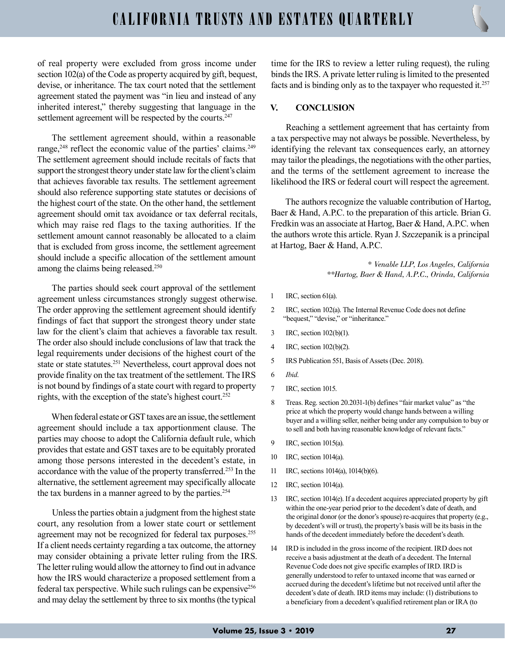of real property were excluded from gross income under section 102(a) of the Code as property acquired by gift, bequest, devise, or inheritance. The tax court noted that the settlement agreement stated the payment was "in lieu and instead of any inherited interest," thereby suggesting that language in the settlement agreement will be respected by the courts.<sup>247</sup>

The settlement agreement should, within a reasonable range,<sup>248</sup> reflect the economic value of the parties' claims.<sup>249</sup> The settlement agreement should include recitals of facts that support the strongest theory under state law for the client's claim that achieves favorable tax results. The settlement agreement should also reference supporting state statutes or decisions of the highest court of the state. On the other hand, the settlement agreement should omit tax avoidance or tax deferral recitals, which may raise red flags to the taxing authorities. If the settlement amount cannot reasonably be allocated to a claim that is excluded from gross income, the settlement agreement should include a specific allocation of the settlement amount among the claims being released.<sup>250</sup>

The parties should seek court approval of the settlement agreement unless circumstances strongly suggest otherwise. The order approving the settlement agreement should identify findings of fact that support the strongest theory under state law for the client's claim that achieves a favorable tax result. The order also should include conclusions of law that track the legal requirements under decisions of the highest court of the state or state statutes.<sup>251</sup> Nevertheless, court approval does not provide finality on the tax treatment of the settlement. The IRS is not bound by findings of a state court with regard to property rights, with the exception of the state's highest court.<sup>252</sup>

When federal estate or GST taxes are an issue, the settlement agreement should include a tax apportionment clause. The parties may choose to adopt the California default rule, which provides that estate and GST taxes are to be equitably prorated among those persons interested in the decedent's estate, in accordance with the value of the property transferred.<sup>253</sup> In the alternative, the settlement agreement may specifically allocate the tax burdens in a manner agreed to by the parties.<sup>254</sup>

Unless the parties obtain a judgment from the highest state court, any resolution from a lower state court or settlement agreement may not be recognized for federal tax purposes.<sup>255</sup> If a client needs certainty regarding a tax outcome, the attorney may consider obtaining a private letter ruling from the IRS. The letter ruling would allow the attorney to find out in advance how the IRS would characterize a proposed settlement from a federal tax perspective. While such rulings can be expensive<sup>256</sup> and may delay the settlement by three to six months (the typical

time for the IRS to review a letter ruling request), the ruling binds the IRS. A private letter ruling is limited to the presented facts and is binding only as to the taxpayer who requested it.<sup>257</sup>

#### V. CONCLUSION

Reaching a settlement agreement that has certainty from a tax perspective may not always be possible. Nevertheless, by identifying the relevant tax consequences early, an attorney may tailor the pleadings, the negotiations with the other parties, and the terms of the settlement agreement to increase the likelihood the IRS or federal court will respect the agreement.

The authors recognize the valuable contribution of Hartog, Baer & Hand, A.P.C. to the preparation of this article. Brian G. Fredkin was an associate at Hartog, Baer & Hand, A.P.C. when the authors wrote this article. Ryan J. Szczepanik is a principal at Hartog, Baer & Hand, A.P.C.

> \* Venable LLP, Los Angeles, California \*\*Hartog, Baer & Hand, A.P.C., Orinda, California

- 1 IRC, section 61(a).
- 2 IRC, section 102(a). The Internal Revenue Code does not define "bequest," "devise," or "inheritance."
- 3 IRC, section 102(b)(1).
- 4 IRC, section 102(b)(2).
- 5 IRS Publication 551, Basis of Assets (Dec. 2018).
- 6 Ibid.
- 7 IRC, section 1015.
- 8 Treas. Reg. section 20.2031-1(b) defines "fair market value" as "the price at which the property would change hands between a willing buyer and a willing seller, neither being under any compulsion to buy or to sell and both having reasonable knowledge of relevant facts."
- 9 IRC, section 1015(a).
- 10 IRC, section 1014(a).
- 11 IRC, sections 1014(a), 1014(b)(6).
- 12 IRC, section 1014(a).
- 13 IRC, section 1014(e). If a decedent acquires appreciated property by gift within the one-year period prior to the decedent's date of death, and the original donor (or the donor's spouse) re-acquires that property (e.g., by decedent's will or trust), the property's basis will be its basis in the hands of the decedent immediately before the decedent's death.
- 14 IRD is included in the gross income of the recipient. IRD does not receive a basis adjustment at the death of a decedent. The Internal Revenue Code does not give specific examples of IRD. IRD is generally understood to refer to untaxed income that was earned or accrued during the decedent's lifetime but not received until after the decedent's date of death. IRD items may include: (1) distributions to a beneficiary from a decedent's qualified retirement plan or IRA (to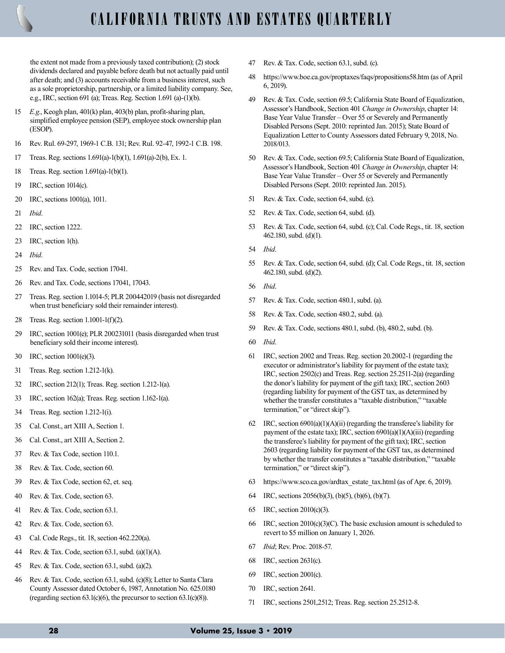

the extent not made from a previously taxed contribution); (2) stock dividends declared and payable before death but not actually paid until after death; and (3) accounts receivable from a business interest, such as a sole proprietorship, partnership, or a limited liability company. See, e.g., IRC, section 691 (a); Treas. Reg. Section 1.691 (a)-(1)(b).

- 15 E.g., Keogh plan, 401(k) plan, 403(b) plan, profit-sharing plan, simplified employee pension (SEP), employee stock ownership plan (ESOP).
- 16 Rev. Rul. 69-297, 1969-1 C.B. 131; Rev. Rul. 92-47, 1992-1 C.B. 198.
- 17 Treas. Reg. sections 1.691(a)-1(b)(1), 1.691(a)-2(b), Ex. 1.
- 18 Treas. Reg. section 1.691(a)-1(b)(1).
- 19 IRC, section 1014(c).
- 20 IRC, sections 1001(a), 1011.
- 21 Ibid.
- 22 IRC, section 1222.
- 23 IRC, section 1(h).
- 24 Ibid.
- 25 Rev. and Tax. Code, section 17041.
- 26 Rev. and Tax. Code, sections 17041, 17043.
- 27 Treas. Reg. section 1.1014-5; PLR 200442019 (basis not disregarded when trust beneficiary sold their remainder interest).
- 28 Treas. Reg. section 1.1001-1(f)(2).
- 29 IRC, section 1001(e); PLR 200231011 (basis disregarded when trust beneficiary sold their income interest).
- 30 IRC, section 1001(e)(3).
- 31 Treas. Reg. section 1.212-1(k).
- 32 IRC, section 212(1); Treas. Reg. section 1.212-1(a).
- 33 IRC, section 162(a); Treas. Reg. section 1.162-1(a).
- 34 Treas. Reg. section 1.212-1(i).
- 35 Cal. Const., art XIII A, Section 1.
- 36 Cal. Const., art XIII A, Section 2.
- 37 Rev. & Tax Code, section 110.1.
- 38 Rev. & Tax. Code, section 60.
- 39 Rev. & Tax Code, section 62, et. seq.
- 40 Rev. & Tax. Code, section 63.
- 41 Rev. & Tax. Code, section 63.1.
- 42 Rev. & Tax. Code, section 63.
- 43 Cal. Code Regs., tit. 18, section 462.220(a).
- 44 Rev. & Tax. Code, section 63.1, subd. (a)(1)(A).
- 45 Rev. & Tax. Code, section 63.1, subd. (a)(2).
- 46 Rev. & Tax. Code, section 63.1, subd. (c)(8); Letter to Santa Clara County Assessor dated October 6, 1987, Annotation No. 625.0180 (regarding section  $63.1(c)(6)$ , the precursor to section  $63.1(c)(8)$ ).
- 47 Rev. & Tax. Code, section 63.1, subd. (c).
- 48 https://www.boe.ca.gov/proptaxes/faqs/propositions58.htm (as of April 6, 2019).
- 49 Rev. & Tax. Code, section 69.5; California State Board of Equalization, Assessor's Handbook, Section 401 Change in Ownership, chapter 14: Base Year Value Transfer – Over 55 or Severely and Permanently Disabled Persons (Sept. 2010: reprinted Jan. 2015); State Board of Equalization Letter to County Assessors dated February 9, 2018, No. 2018/013.
- 50 Rev. & Tax. Code, section 69.5; California State Board of Equalization, Assessor's Handbook, Section 401 Change in Ownership, chapter 14: Base Year Value Transfer – Over 55 or Severely and Permanently Disabled Persons (Sept. 2010: reprinted Jan. 2015).
- 51 Rev. & Tax. Code, section 64, subd. (c).
- 52 Rev. & Tax. Code, section 64, subd. (d).
- 53 Rev. & Tax. Code, section 64, subd. (c); Cal. Code Regs., tit. 18, section 462.180, subd. (d)(1).
- 54 Ibid.
- 55 Rev. & Tax. Code, section 64, subd. (d); Cal. Code Regs., tit. 18, section 462.180, subd. (d)(2).
- 56 Ibid.
- 57 Rev. & Tax. Code, section 480.1, subd. (a).
- 58 Rev. & Tax. Code, section 480.2, subd. (a).
- 59 Rev. & Tax. Code, sections 480.1, subd. (b), 480.2, subd. (b).
- 60 Ibid.
- 61 IRC, section 2002 and Treas. Reg. section 20.2002-1 (regarding the executor or administrator's liability for payment of the estate tax); IRC, section 2502(c) and Treas. Reg. section 25.2511-2(a) (regarding the donor's liability for payment of the gift tax); IRC, section 2603 (regarding liability for payment of the GST tax, as determined by whether the transfer constitutes a "taxable distribution," "taxable termination," or "direct skip").
- 62 IRC, section 6901(a)(1)(A)(ii) (regarding the transferee's liability for payment of the estate tax); IRC, section 6901(a)(1)(A)(iii) (regarding the transferee's liability for payment of the gift tax); IRC, section 2603 (regarding liability for payment of the GST tax, as determined by whether the transfer constitutes a "taxable distribution," "taxable termination," or "direct skip").
- 63 https://www.sco.ca.gov/ardtax\_estate\_tax.html (as of Apr. 6, 2019).
- 64 IRC, sections 2056(b)(3), (b)(5), (b)(6), (b)(7).
- 65 IRC, section 2010(c)(3).
- 66 IRC, section 2010(c)(3)(C). The basic exclusion amount is scheduled to revert to \$5 million on January 1, 2026.
- 67 Ibid; Rev. Proc. 2018-57.
- 68 IRC, section 2631(c).
- 69 IRC, section 2001(c).
- 70 IRC, section 2641.
- 71 IRC, sections 2501,2512; Treas. Reg. section 25.2512-8.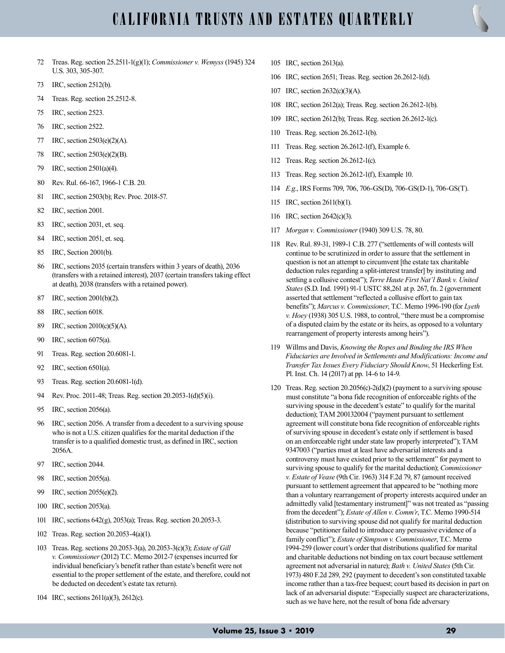- 72 Treas. Reg. section 25.2511-1(g)(1); Commissioner v. Wemyss (1945) 324 U.S. 303, 305-307.
- 73 IRC, section 2512(b).
- 74 Treas. Reg. section 25.2512-8.
- 75 IRC, section 2523.
- 76 IRC, section 2522.
- 77 IRC, section 2503(e)(2)(A).
- 78 IRC, section 2503(e)(2)(B).
- 79 IRC, section 2501(a)(4).
- 80 Rev. Rul. 66-167, 1966-1 C.B. 20.
- 81 IRC, section 2503(b); Rev. Proc. 2018-57.
- 82 IRC, section 2001.
- 83 IRC, section 2031, et. seq.
- 84 IRC, section 2051, et. seq.
- 85 IRC, Section 2001(b).
- 86 IRC, sections 2035 (certain transfers within 3 years of death), 2036 (transfers with a retained interest), 2037 (certain transfers taking effect at death), 2038 (transfers with a retained power).
- 87 IRC, section 2001(b)(2).
- 88 IRC, section 6018.
- 89 IRC, section 2010(c)(5)(A).
- 90 IRC, section 6075(a).
- 91 Treas. Reg. section 20.6081-1.
- 92 IRC, section 6501(a).
- 93 Treas. Reg. section 20.6081-1(d).
- 94 Rev. Proc. 2011-48; Treas. Reg. section 20.2053-1(d)(5)(i).
- 95 IRC, section 2056(a).
- 96 IRC, section 2056. A transfer from a decedent to a surviving spouse who is not a U.S. citizen qualifies for the marital deduction if the transfer is to a qualified domestic trust, as defined in IRC, section 2056A.
- 97 IRC, section 2044.
- 98 IRC, section 2055(a).
- 99 IRC, section 2055(e)(2).
- 100 IRC, section 2053(a).
- 101 IRC, sections 642(g), 2053(a); Treas. Reg. section 20.2053-3.
- 102 Treas. Reg. section 20.2053-4(a)(1).
- 103 Treas. Reg. sections 20.2053-3(a), 20.2053-3(c)(3); Estate of Gill v. Commissioner (2012) T.C. Memo 2012-7 (expenses incurred for individual beneficiary's benefit rather than estate's benefit were not essential to the proper settlement of the estate, and therefore, could not be deducted on decedent's estate tax return).
- 104 IRC, sections 2611(a)(3), 2612(c).
- 105 IRC, section 2613(a).
- 106 IRC, section 2651; Treas. Reg. section 26.2612-1(d).
- 107 IRC, section 2632(c)(3)(A).
- 108 IRC, section 2612(a); Treas. Reg. section 26.2612-1(b).
- 109 IRC, section 2612(b); Treas. Reg. section 26.2612-1(c).
- 110 Treas. Reg. section 26.2612-1(b).
- 111 Treas. Reg. section 26.2612-1(f), Example 6.
- 112 Treas. Reg. section 26.2612-1(c).
- 113 Treas. Reg. section 26.2612-1(f), Example 10.
- 114 E.g., IRS Forms 709, 706, 706-GS(D), 706-GS(D-1), 706-GS(T).
- 115 IRC, section 2611(b)(1).
- 116 IRC, section 2642(c)(3).
- 117 Morgan v. Commissioner (1940) 309 U.S. 78, 80.
- 118 Rev. Rul. 89-31, 1989-1 C.B. 277 ("settlements of will contests will continue to be scrutinized in order to assure that the settlement in question is not an attempt to circumvent [the estate tax charitable deduction rules regarding a split-interest transfer] by instituting and settling a collusive contest"); Terre Haute First Nat'l Bank v. United States (S.D. Ind. 1991) 91-1 USTC 88,261 at p. 267, fn. 2 (government asserted that settlement "reflected a collusive effort to gain tax benefits"); Marcus v. Commissioner, T.C. Memo 1996-190 (for Lyeth  $v.$  Hoey (1938) 305 U.S. 1988, to control, "there must be a compromise of a disputed claim by the estate or its heirs, as opposed to a voluntary rearrangement of property interests among heirs").
- 119 Willms and Davis, Knowing the Ropes and Binding the IRS When Fiduciaries are Involved in Settlements and Modifications: Income and Transfer Tax Issues Every Fiduciary Should Know, 51 Heckerling Est. Pl. Inst. Ch. 14 (2017) at pp. 14-6 to 14-9.
- 120 Treas. Reg. section 20.2056(c)-2(d)(2) (payment to a surviving spouse must constitute "a bona fide recognition of enforceable rights of the surviving spouse in the decedent's estate" to qualify for the marital deduction); TAM 200132004 ("payment pursuant to settlement agreement will constitute bona fide recognition of enforceable rights of surviving spouse in decedent's estate only if settlement is based on an enforceable right under state law properly interpreted"); TAM 9347003 ("parties must at least have adversarial interests and a controversy must have existed prior to the settlement" for payment to surviving spouse to qualify for the marital deduction); *Commissioner* v. Estate of Vease (9th Cir. 1963) 314 F.2d 79, 87 (amount received pursuant to settlement agreement that appeared to be "nothing more than a voluntary rearrangement of property interests acquired under an admittedly valid [testamentary instrument]" was not treated as "passing from the decedent"); Estate of Allen v. Comm'r, T.C. Memo 1990-514 (distribution to surviving spouse did not qualify for marital deduction because "petitioner failed to introduce any persuasive evidence of a family conflict"); Estate of Simpson v. Commissioner, T.C. Memo 1994-259 (lower court's order that distributions qualified for marital and charitable deductions not binding on tax court because settlement agreement not adversarial in nature); Bath v. United States (5th Cir. 1973) 480 F.2d 289, 292 (payment to decedent's son constituted taxable income rather than a tax-free bequest; court based its decision in part on lack of an adversarial dispute: "Especially suspect are characterizations, such as we have here, not the result of bona fide adversary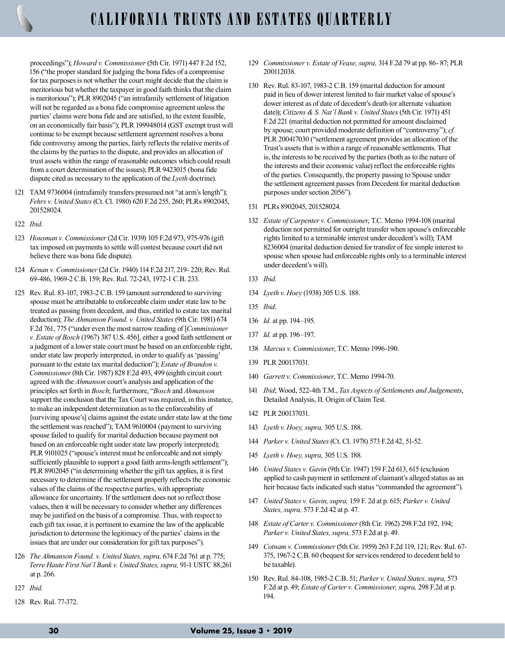proceedings"); Howard v. Commissioner (5th Cir. 1971) 447 F.2d 152, 156 ("the proper standard for judging the bona fides of a compromise for tax purposes is not whether the court might decide that the claim is meritorious but whether the taxpayer in good faith thinks that the claim is meritorious"); PLR 8902045 ("an intrafamily settlement of litigation will not be regarded as a bona fide compromise agreement unless the parties' claims were bona fide and are satisfied, to the extent feasible, on an economically fair basis"); PLR 199948014 (GST exempt trust will continue to be exempt because settlement agreement resolves a bona fide controversy among the parties, fairly reflects the relative merits of the claims by the parties to the dispute, and provides an allocation of trust assets within the range of reasonable outcomes which could result from a court determination of the issues); PLR 9423015 (bona fide dispute cited as necessary to the application of the Lyeth doctrine).

- 121 TAM 9736004 (intrafamily transfers presumed not "at arm's length"); Fehrs v. United States (Ct. Cl. 1980) 620 F.2d 255, 260; PLRs 8902045, 201528024.
- 122 Ibid.
- 123 Housman v. Commissioner (2d Cir. 1939) 105 F.2d 973, 975-976 (gift tax imposed on payments to settle will contest because court did not believe there was bona fide dispute).
- 124 Kenan v. Commissioner (2d Cir. 1940) 114 F.2d 217, 219- 220; Rev. Rul. 69-486, 1969-2 C.B. 159; Rev. Rul. 72-243, 1972-1 C.B. 233.
- 125 Rev. Rul. 83-107, 1983-2 C.B. 159 (amount surrendered to surviving spouse must be attributable to enforceable claim under state law to be treated as passing from decedent, and thus, entitled to estate tax marital deduction); The Ahmanson Found. v. United States (9th Cir. 1981) 674 F.2d 761, 775 ("under even the most narrow reading of [Commissioner v. Estate of Bosch (1967) 387 U.S. 456], either a good faith settlement or a judgment of a lower state court must be based on an enforceable right, under state law properly interpreted, in order to qualify as 'passing' pursuant to the estate tax marital deduction"); Estate of Brandon v. Commissioner (8th Cir. 1987) 828 F.2d 493, 499 (eighth circuit court agreed with the *Ahmanson* court's analysis and application of the principles set forth in Bosch; furthermore, "Bosch and Ahmanson support the conclusion that the Tax Court was required, in this instance, to make an independent determination as to the enforceability of [surviving spouse's] claims against the estate under state law at the time the settlement was reached"); TAM 9610004 (payment to surviving spouse failed to qualify for marital deduction because payment not based on an enforceable right under state law properly interpreted); PLR 9101025 ("spouse's interest must be enforceable and not simply sufficiently plausible to support a good faith arms-length settlement"); PLR 8902045 ("in determining whether the gift tax applies, it is first necessary to determine if the settlement properly reflects the economic values of the claims of the respective parties, with appropriate allowance for uncertainty. If the settlement does not so reflect those values, then it will be necessary to consider whether any differences may be justified on the basis of a compromise. Thus, with respect to each gift tax issue, it is pertinent to examine the law of the applicable jurisdiction to determine the legitimacy of the parties' claims in the issues that are under our consideration for gift tax purposes").
- 126 The Ahmanson Found. v. United States, supra, 674 F.2d 761 at p. 775; Terre Haute First Nat'l Bank v. United States, supra, 91-1 USTC 88,261 at p. 266.
- 127 Ibid.
- 128 Rev. Rul. 77-372.
- 129 Commissioner v. Estate of Vease, supra, 314 F.2d 79 at pp. 86- 87; PLR 200112038.
- 130 Rev. Rul. 83-107, 1983-2 C.B. 159 (marital deduction for amount paid in lieu of dower interest limited to fair market value of spouse's dower interest as of date of decedent's death (or alternate valuation date)); Citizens & S. Nat'l Bank v. United States (5th Cir. 1971) 451 F.2d 221 (marital deduction not permitted for amount disclaimed by spouse; court provided moderate definition of "controversy"); cf. PLR 200417030 ("settlement agreement provides an allocation of the Trust's assets that is within a range of reasonable settlements. That is, the interests to be received by the parties (both as to the nature of the interests and their economic value) reflect the enforceable rights of the parties. Consequently, the property passing to Spouse under the settlement agreement passes from Decedent for marital deduction purposes under section 2056").
- 131 PLRs 8902045, 201528024.
- 132 Estate of Carpenter v. Commissioner, T.C. Memo 1994-108 (marital deduction not permitted for outright transfer when spouse's enforceable rights limited to a terminable interest under decedent's will); TAM 8236004 (marital deduction denied for transfer of fee simple interest to spouse when spouse had enforceable rights only to a terminable interest under decedent's will).
- 133 Ibid.
- 134 Lyeth v. Hoey (1938) 305 U.S. 188.
- 135 Ibid.
- 136 Id. at pp. 194–195.
- 137 *Id.* at pp. 196-197.
- 138 Marcus v. Commissioner, T.C. Memo 1996-190.
- 139 PLR 200137031.
- 140 Garrett v. Commissioner, T.C. Memo 1994-70.
- 141 Ibid; Wood, 522-4th T.M., Tax Aspects of Settlements and Judgements, Detailed Analysis, II. Origin of Claim Test.
- 142 PLR 200137031.
- 143 Lyeth v. Hoey, supra, 305 U.S. 188.
- 144 Parker v. United States (Ct. Cl. 1978) 573 F.2d 42, 51-52.
- 145 Lyeth v. Hoey, supra, 305 U.S. 188.
- 146 United States v. Gavin (9th Cir. 1947) 159 F.2d 613, 615 (exclusion applied to cash payment in settlement of claimant's alleged status as an heir because facts indicated such status "commanded the agreement").
- 147 United States v. Gavin, supra, 159 F. 2d at p. 615; Parker v. United States, supra, 573 F.2d 42 at p. 47.
- 148 Estate of Carter v. Commissioner (8th Cir. 1962) 298 F.2d 192, 194; Parker v. United States, supra, 573 F.2d at p. 49.
- 149 Cotnam v. Commissioner (5th Cir. 1959) 263 F.2d 119, 121; Rev. Rul. 67- 375, 1967-2 C.B. 60 (bequest for services rendered to decedent held to be taxable).
- 150 Rev. Rul. 84-108, 1985-2 C.B. 51; Parker v. United States, supra, 573 F.2d at p. 49; Estate of Carter v. Commissioner, supra, 298 F.2d at p. 194.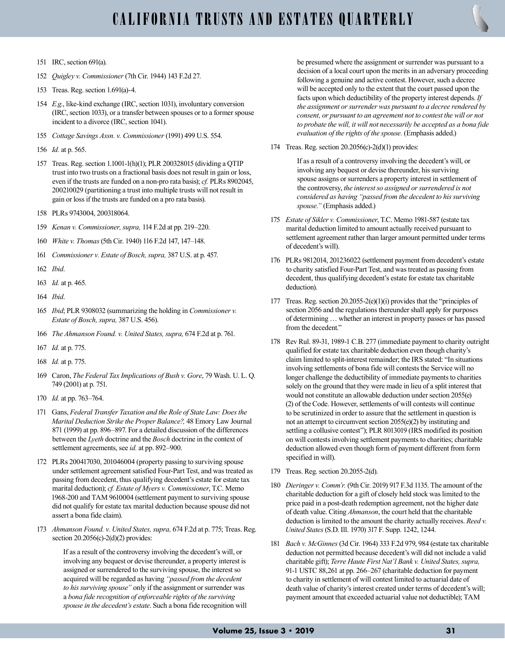- 151 IRC, section 691(a).
- 152 Quigley v. Commissioner (7th Cir. 1944) 143 F.2d 27.
- 153 Treas. Reg. section 1.691(a)-4.
- 154 E.g., like-kind exchange (IRC, section 1031), involuntary conversion (IRC, section 1033), or a transfer between spouses or to a former spouse incident to a divorce (IRC, section 1041).
- 155 Cottage Savings Assn. v. Commissioner (1991) 499 U.S. 554.
- 156 Id. at p. 565.
- 157 Treas. Reg. section 1.1001-1(h)(1); PLR 200328015 (dividing a QTIP trust into two trusts on a fractional basis does not result in gain or loss, even if the trusts are funded on a non-pro rata basis); cf. PLRs 8902045, 200210029 (partitioning a trust into multiple trusts will not result in gain or loss if the trusts are funded on a pro rata basis).
- 158 PLRs 9743004, 200318064.
- 159 Kenan v. Commissioner, supra, 114 F.2d at pp. 219–220.
- 160 White v. Thomas (5th Cir. 1940) 116 F.2d 147, 147–148.
- 161 Commissioner v. Estate of Bosch, supra, 387 U.S. at p. 457.
- 162 Ibid.
- 163 Id. at p. 465.
- 164 Ibid.
- 165 Ibid; PLR 9308032 (summarizing the holding in Commissioner v. Estate of Bosch, supra, 387 U.S. 456).
- 166 The Ahmanson Found. v. United States, supra, 674 F.2d at p. 761.
- 167 Id. at p. 775.
- 168 Id. at p. 775.
- 169 Caron, The Federal Tax Implications of Bush v. Gore, 79 Wash. U. L. Q. 749 (2001) at p. 751.
- 170 Id. at pp. 763–764.
- 171 Gans, Federal Transfer Taxation and the Role of State Law: Does the Marital Deduction Strike the Proper Balance?, 48 Emory Law Journal 871 (1999) at pp. 896–897. For a detailed discussion of the differences between the Lyeth doctrine and the Bosch doctrine in the context of settlement agreements, see id. at pp. 892–900.
- 172 PLRs 200417030, 201046004 (property passing to surviving spouse under settlement agreement satisfied Four-Part Test, and was treated as passing from decedent, thus qualifying decedent's estate for estate tax marital deduction); cf. Estate of Myers v. Commissioner, T.C. Memo 1968-200 and TAM 9610004 (settlement payment to surviving spouse did not qualify for estate tax marital deduction because spouse did not assert a bona fide claim).
- 173 Ahmanson Found. v. United States, supra, 674 F.2d at p. 775; Treas. Reg. section 20.2056(c)-2(d)(2) provides:

If as a result of the controversy involving the decedent's will, or involving any bequest or devise thereunder, a property interest is assigned or surrendered to the surviving spouse, the interest so acquired will be regarded as having "passed from the decedent to his surviving spouse" only if the assignment or surrender was a bona fide recognition of enforceable rights of the surviving spouse in the decedent's estate. Such a bona fide recognition will be presumed where the assignment or surrender was pursuant to a decision of a local court upon the merits in an adversary proceeding following a genuine and active contest. However, such a decree will be accepted only to the extent that the court passed upon the facts upon which deductibility of the property interest depends. If the assignment or surrender was pursuant to a decree rendered by consent, or pursuant to an agreement not to contest the will or not to probate the will, it will not necessarily be accepted as a bona fide evaluation of the rights of the spouse. (Emphasis added.)

174 Treas. Reg. section 20.2056(c)-2(d)(1) provides:

If as a result of a controversy involving the decedent's will, or involving any bequest or devise thereunder, his surviving spouse assigns or surrenders a property interest in settlement of the controversy, the interest so assigned or surrendered is not considered as having "passed from the decedent to his surviving spouse." (Emphasis added.)

- 175 Estate of Sikler v. Commissioner, T.C. Memo 1981-587 (estate tax marital deduction limited to amount actually received pursuant to settlement agreement rather than larger amount permitted under terms of decedent's will).
- 176 PLRs 9812014, 201236022 (settlement payment from decedent's estate to charity satisfied Four-Part Test, and was treated as passing from decedent, thus qualifying decedent's estate for estate tax charitable deduction).
- 177 Treas. Reg. section 20.2055-2(e)(1)(i) provides that the "principles of section 2056 and the regulations thereunder shall apply for purposes of determining … whether an interest in property passes or has passed from the decedent."
- 178 Rev Rul. 89-31, 1989-1 C.B. 277 (immediate payment to charity outright qualified for estate tax charitable deduction even though charity's claim limited to split-interest remainder; the IRS stated: "In situations involving settlements of bona fide will contests the Service will no longer challenge the deductibility of immediate payments to charities solely on the ground that they were made in lieu of a split interest that would not constitute an allowable deduction under section 2055(e) (2) of the Code. However, settlements of will contests will continue to be scrutinized in order to assure that the settlement in question is not an attempt to circumvent section 2055(e)(2) by instituting and settling a collusive contest"); PLR 8013019 (IRS modified its position on will contests involving settlement payments to charities; charitable deduction allowed even though form of payment different from form specified in will).
- 179 Treas. Reg. section 20.2055-2(d).
- 180 Dieringer v. Comm'r. (9th Cir. 2019) 917 F.3d 1135. The amount of the charitable deduction for a gift of closely held stock was limited to the price paid in a post-death redemption agreement, not the higher date of death value. Citing Ahmanson, the court held that the charitable deduction is limited to the amount the charity actually receives. Reed v. United States (S.D. Ill. 1970) 317 F. Supp. 1242, 1244.
- 181 Bach v. McGinnes (3d Cir. 1964) 333 F.2d 979, 984 (estate tax charitable deduction not permitted because decedent's will did not include a valid charitable gift); Terre Haute First Nat'l Bank v. United States, supra, 91-1 USTC 88,261 at pp. 266–267 (charitable deduction for payment to charity in settlement of will contest limited to actuarial date of death value of charity's interest created under terms of decedent's will; payment amount that exceeded actuarial value not deductible); TAM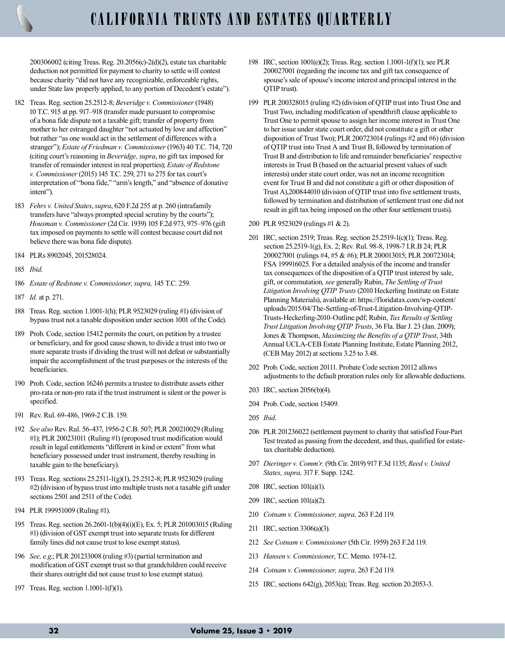200306002 (citing Treas. Reg. 20.2056(c)-2(d)(2), estate tax charitable deduction not permitted for payment to charity to settle will contest because charity "did not have any recognizable, enforceable rights, under State law properly applied, to any portion of Decedent's estate").

- 182 Treas. Reg. section 25.2512-8; Beveridge v. Commissioner (1948) 10 T.C. 915 at pp. 917–918 (transfer made pursuant to compromise of a bona fide dispute not a taxable gift; transfer of property from mother to her estranged daughter "not actuated by love and affection" but rather "as one would act in the settlement of differences with a stranger"); Estate of Friedman v. Commissioner (1963) 40 T.C. 714, 720 (citing court's reasoning in Beveridge, supra, no gift tax imposed for transfer of remainder interest in real properties); Estate of Redstone v. Commissioner (2015) 145 T.C. 259, 271 to 275 for tax court's interpretation of "bona fide," "arm's length," and "absence of donative intent").
- 183 Fehrs v. United States, supra, 620 F.2d 255 at p. 260 (intrafamily transfers have "always prompted special scrutiny by the courts"); Housman v. Commissioner (2d Cir. 1939) 105 F.2d 973, 975–976 (gift tax imposed on payments to settle will contest because court did not believe there was bona fide dispute).
- 184 PLRs 8902045, 201528024.
- 185 Ibid.
- 186 Estate of Redstone v. Commissioner, supra, 145 T.C. 259.
- 187 Id. at p. 271.
- 188 Treas. Reg. section 1.1001-1(h); PLR 9523029 (ruling #1) (division of bypass trust not a taxable disposition under section 1001 of the Code).
- 189 Prob. Code, section 15412 permits the court, on petition by a trustee or beneficiary, and for good cause shown, to divide a trust into two or more separate trusts if dividing the trust will not defeat or substantially impair the accomplishment of the trust purposes or the interests of the beneficiaries.
- 190 Prob. Code, section 16246 permits a trustee to distribute assets either pro-rata or non-pro rata if the trust instrument is silent or the power is specified.
- 191 Rev. Rul. 69-486, 1969-2 C.B. 159.
- 192 See also Rev. Rul. 56-437, 1956-2 C.B. 507; PLR 200210029 (Ruling #1); PLR 200231011 (Ruling #1) (proposed trust modification would result in legal entitlements "different in kind or extent" from what beneficiary possessed under trust instrument, thereby resulting in taxable gain to the beneficiary).
- 193 Treas. Reg. sections 25.2511-1(g)(1), 25.2512-8; PLR 9523029 (ruling #2) (division of bypass trust into multiple trusts not a taxable gift under sections 2501 and 2511 of the Code).
- 194 PLR 199951009 (Ruling #1).
- 195 Treas. Reg. section 26.2601-1(b)(4)(i)(E), Ex. 5; PLR 201003015 (Ruling #1) (division of GST exempt trust into separate trusts for different family lines did not cause trust to lose exempt status).
- 196 See, e.g.; PLR 201233008 (ruling #3) (partial termination and modification of GST exempt trust so that grandchildren could receive their shares outright did not cause trust to lose exempt status).
- 197 Treas. Reg. section 1.1001-1(f)(1).
- 198 IRC, section 1001(e)(2); Treas. Reg. section 1.1001-1(f)(1); see PLR 200027001 (regarding the income tax and gift tax consequence of spouse's sale of spouse's income interest and principal interest in the QTIP trust).
- 199 PLR 200328015 (ruling #2) (division of QTIP trust into Trust One and Trust Two, including modification of spendthrift clause applicable to Trust One to permit spouse to assign her income interest in Trust One to her issue under state court order, did not constitute a gift or other disposition of Trust Two); PLR 200723014 (rulings #2 and #6) (division of QTIP trust into Trust A and Trust B, followed by termination of Trust B and distribution to life and remainder beneficiaries' respective interests in Trust B (based on the actuarial present values of such interests) under state court order, was not an income recognition event for Trust B and did not constitute a gift or other disposition of Trust A),200844010 (division of QTIP trust into five settlement trusts, followed by termination and distribution of settlement trust one did not result in gift tax being imposed on the other four settlement trusts).
- 200 PLR 9523029 (rulings #1 & 2).
- 201 IRC, section 2519; Treas. Reg. section 25.2519-1(c)(1); Treas. Reg. section 25.2519-1(g), Ex. 2; Rev. Rul. 98-8, 1998-7 I.R.B 24; PLR 200027001 (rulings #4, #5 & #6); PLR 200013015; PLR 200723014; FSA 199916025. For a detailed analysis of the income and transfer tax consequences of the disposition of a QTIP trust interest by sale, gift, or commutation, see generally Rubin, The Settling of Trust Litigation Involving QTIP Trusts (2010 Heckerling Institute on Estate Planning Materials), available at: https://floridatax.com/wp-content/ uploads/2015/04/The-Settling-of-Trust-Litigation-Involving-QTIP-Trusts-Heckerling-2010-Outline.pdf; Rubin, Tax Results of Settling Trust Litigation Involving QTIP Trusts, 36 Fla. Bar J. 23 (Jan. 2009); Jones & Thompson, Maximizing the Benefits of a QTIP Trust, 34th Annual UCLA-CEB Estate Planning Institute, Estate Planning 2012, (CEB May 2012) at sections 3.25 to 3.48.
- 202 Prob. Code, section 20111. Probate Code section 20112 allows adjustments to the default proration rules only for allowable deductions.
- 203 IRC, section 2056(b)(4).
- 204 Prob. Code, section 15409.
- 205 Ibid.
- 206 PLR 201236022 (settlement payment to charity that satisfied Four-Part Test treated as passing from the decedent, and thus, qualified for estatetax charitable deduction).
- 207 Dieringer v. Comm'r. (9th Cir. 2019) 917 F.3d 1135; Reed v. United States, supra, 317 F. Supp. 1242.
- 208 IRC, section 101(a)(1).
- 209 IRC, section 101(a)(2).
- 210 Cotnam v. Commissioner, supra, 263 F.2d 119.
- 211 IRC, section 3306(a)(3).
- 212 See Cotnam v. Commissioner (5th Cir. 1959) 263 F.2d 119.
- 213 Hansen v. Commissioner, T.C. Memo. 1974-12.
- 214 Cotnam v. Commissioner, supra, 263 F.2d 119.
- 215 IRC, sections 642(g), 2053(a); Treas. Reg. section 20.2053-3.